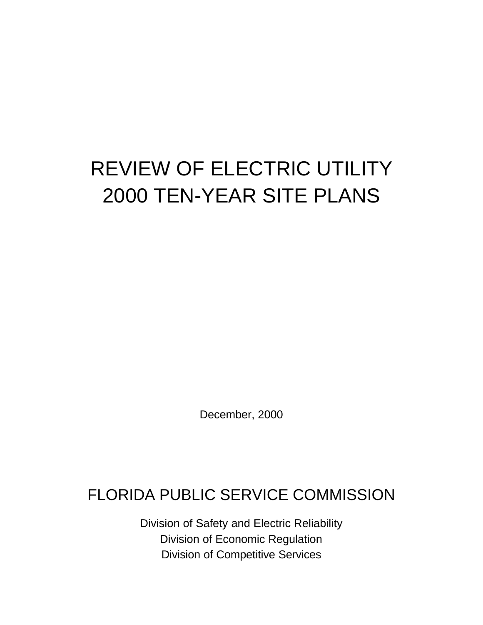# REVIEW OF ELECTRIC UTILITY 2000 TEN-YEAR SITE PLANS

December, 2000

# FLORIDA PUBLIC SERVICE COMMISSION

Division of Safety and Electric Reliability Division of Economic Regulation Division of Competitive Services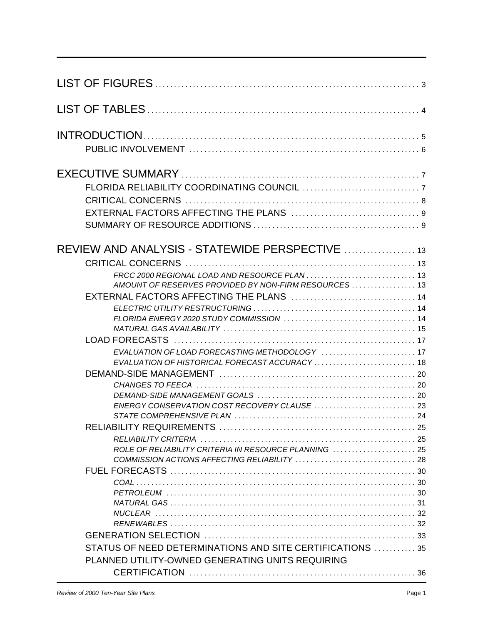| REVIEW AND ANALYSIS - STATEWIDE PERSPECTIVE  13           |  |
|-----------------------------------------------------------|--|
|                                                           |  |
|                                                           |  |
| AMOUNT OF RESERVES PROVIDED BY NON-FIRM RESOURCES  13     |  |
|                                                           |  |
|                                                           |  |
|                                                           |  |
|                                                           |  |
|                                                           |  |
| EVALUATION OF HISTORICAL FORECAST ACCURACY 18             |  |
|                                                           |  |
|                                                           |  |
|                                                           |  |
|                                                           |  |
|                                                           |  |
|                                                           |  |
|                                                           |  |
| ROLE OF RELIABILITY CRITERIA IN RESOURCE PLANNING         |  |
|                                                           |  |
|                                                           |  |
|                                                           |  |
|                                                           |  |
|                                                           |  |
|                                                           |  |
|                                                           |  |
| STATUS OF NEED DETERMINATIONS AND SITE CERTIFICATIONS  35 |  |
| PLANNED UTILITY-OWNED GENERATING UNITS REQUIRING          |  |
|                                                           |  |
|                                                           |  |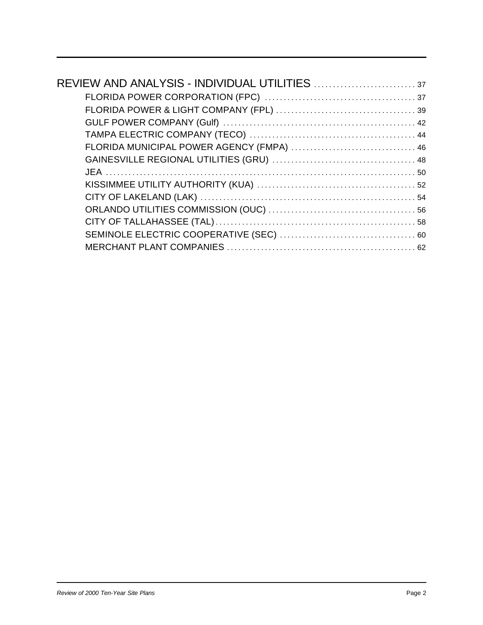| FLORIDA MUNICIPAL POWER AGENCY (FMPA)  46 |  |
|-------------------------------------------|--|
|                                           |  |
|                                           |  |
|                                           |  |
|                                           |  |
|                                           |  |
|                                           |  |
|                                           |  |
|                                           |  |
|                                           |  |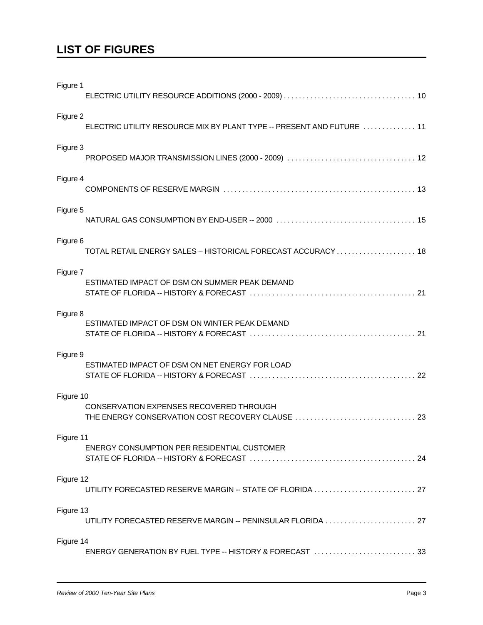### **LIST OF FIGURES**

| Figure 1  |                                                                       |  |
|-----------|-----------------------------------------------------------------------|--|
| Figure 2  | ELECTRIC UTILITY RESOURCE MIX BY PLANT TYPE -- PRESENT AND FUTURE  11 |  |
| Figure 3  |                                                                       |  |
| Figure 4  |                                                                       |  |
| Figure 5  |                                                                       |  |
| Figure 6  | TOTAL RETAIL ENERGY SALES - HISTORICAL FORECAST ACCURACY 18           |  |
| Figure 7  | ESTIMATED IMPACT OF DSM ON SUMMER PEAK DEMAND                         |  |
| Figure 8  | ESTIMATED IMPACT OF DSM ON WINTER PEAK DEMAND                         |  |
| Figure 9  | ESTIMATED IMPACT OF DSM ON NET ENERGY FOR LOAD                        |  |
| Figure 10 | <b>CONSERVATION EXPENSES RECOVERED THROUGH</b>                        |  |
| Figure 11 | <b>ENERGY CONSUMPTION PER RESIDENTIAL CUSTOMER</b>                    |  |
| Figure 12 | UTILITY FORECASTED RESERVE MARGIN -- STATE OF FLORIDA  27             |  |
| Figure 13 | UTILITY FORECASTED RESERVE MARGIN -- PENINSULAR FLORIDA  27           |  |
| Figure 14 |                                                                       |  |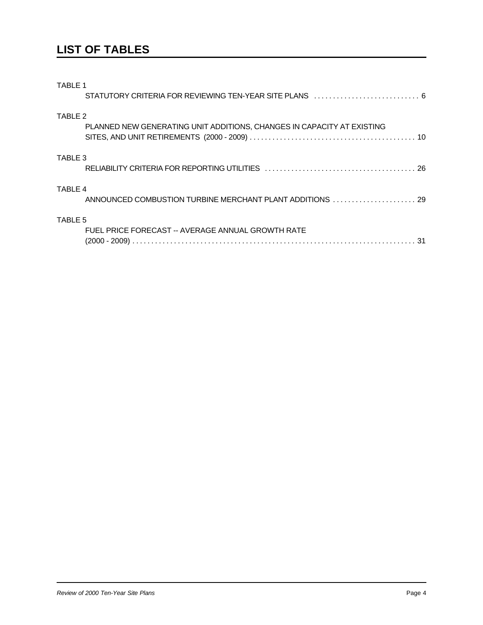### **LIST OF TABLES**

| TABLE 1 |                                                                        |
|---------|------------------------------------------------------------------------|
| TABLE 2 | PLANNED NEW GENERATING UNIT ADDITIONS, CHANGES IN CAPACITY AT EXISTING |
| TABLE 3 |                                                                        |
| TABLE 4 | ANNOUNCED COMBUSTION TURBINE MERCHANT PLANT ADDITIONS  29              |
| TABLE 5 | FUEL PRICE FORECAST -- AVERAGE ANNUAL GROWTH RATE                      |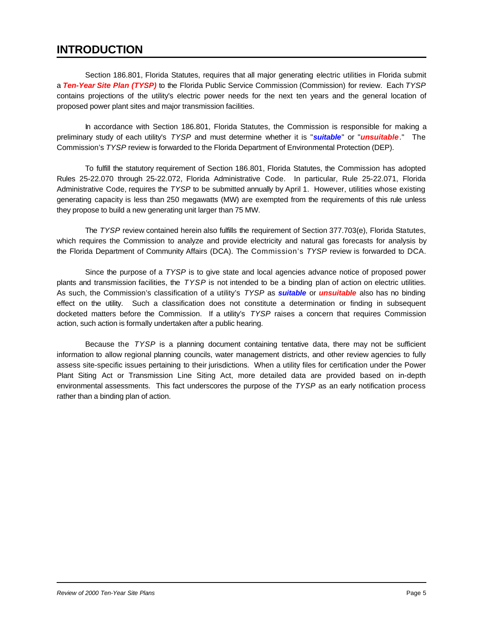### **INTRODUCTION**

Section 186.801, Florida Statutes, requires that all major generating electric utilities in Florida submit a *Ten-Year Site Plan (TYSP)* to the Florida Public Service Commission (Commission) for review. Each *TYSP* contains projections of the utility's electric power needs for the next ten years and the general location of proposed power plant sites and major transmission facilities.

In accordance with Section 186.801, Florida Statutes, the Commission is responsible for making a preliminary study of each utility's *TYSP* and must determine whether it is "*suitable*" or "*unsuitable*." The Commission's *TYSP* review is forwarded to the Florida Department of Environmental Protection (DEP).

To fulfill the statutory requirement of Section 186.801, Florida Statutes, the Commission has adopted Rules 25-22.070 through 25-22.072, Florida Administrative Code. In particular, Rule 25-22.071, Florida Administrative Code, requires the *TYSP* to be submitted annually by April 1. However, utilities whose existing generating capacity is less than 250 megawatts (MW) are exempted from the requirements of this rule unless they propose to build a new generating unit larger than 75 MW.

The *TYSP* review contained herein also fulfills the requirement of Section 377.703(e), Florida Statutes, which requires the Commission to analyze and provide electricity and natural gas forecasts for analysis by the Florida Department of Community Affairs (DCA). The Commission's *TYSP* review is forwarded to DCA.

Since the purpose of a *TYSP* is to give state and local agencies advance notice of proposed power plants and transmission facilities, the *TYSP* is not intended to be a binding plan of action on electric utilities. As such, the Commission's classification of a utility's *TYSP* as *suitable* or *unsuitable* also has no binding effect on the utility. Such a classification does not constitute a determination or finding in subsequent docketed matters before the Commission. If a utility's *TYSP* raises a concern that requires Commission action, such action is formally undertaken after a public hearing.

Because the *TYSP* is a planning document containing tentative data, there may not be sufficient information to allow regional planning councils, water management districts, and other review agencies to fully assess site-specific issues pertaining to their jurisdictions. When a utility files for certification under the Power Plant Siting Act or Transmission Line Siting Act, more detailed data are provided based on in-depth environmental assessments. This fact underscores the purpose of the *TYSP* as an early notification process rather than a binding plan of action.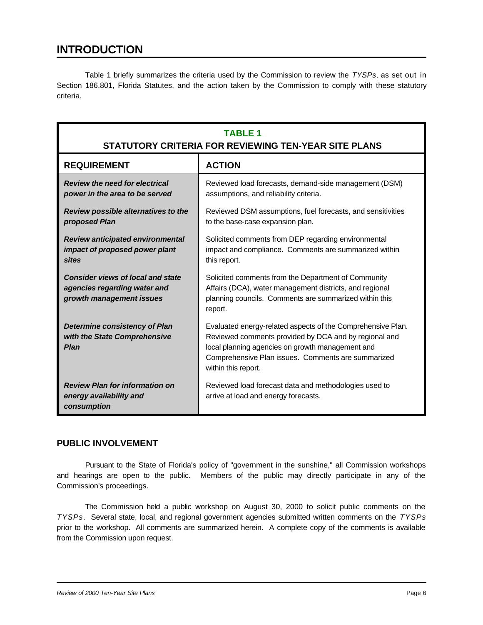### **INTRODUCTION**

Table 1 briefly summarizes the criteria used by the Commission to review the *TYSPs*, as set out in Section 186.801, Florida Statutes, and the action taken by the Commission to comply with these statutory criteria.

| <b>TABLE 1</b><br>STATUTORY CRITERIA FOR REVIEWING TEN-YEAR SITE PLANS                               |                                                                                                                                                                                                                                                       |  |  |  |
|------------------------------------------------------------------------------------------------------|-------------------------------------------------------------------------------------------------------------------------------------------------------------------------------------------------------------------------------------------------------|--|--|--|
| <b>REQUIREMENT</b>                                                                                   | <b>ACTION</b>                                                                                                                                                                                                                                         |  |  |  |
| <b>Review the need for electrical</b><br>power in the area to be served                              | Reviewed load forecasts, demand-side management (DSM)<br>assumptions, and reliability criteria.                                                                                                                                                       |  |  |  |
| Review possible alternatives to the<br>proposed Plan                                                 | Reviewed DSM assumptions, fuel forecasts, and sensitivities<br>to the base-case expansion plan.                                                                                                                                                       |  |  |  |
| <b>Review anticipated environmental</b><br>impact of proposed power plant<br><b>sites</b>            | Solicited comments from DEP regarding environmental<br>impact and compliance. Comments are summarized within<br>this report.                                                                                                                          |  |  |  |
| <b>Consider views of local and state</b><br>agencies regarding water and<br>growth management issues | Solicited comments from the Department of Community<br>Affairs (DCA), water management districts, and regional<br>planning councils. Comments are summarized within this<br>report.                                                                   |  |  |  |
| <b>Determine consistency of Plan</b><br>with the State Comprehensive<br><b>Plan</b>                  | Evaluated energy-related aspects of the Comprehensive Plan.<br>Reviewed comments provided by DCA and by regional and<br>local planning agencies on growth management and<br>Comprehensive Plan issues. Comments are summarized<br>within this report. |  |  |  |
| <b>Review Plan for information on</b><br>energy availability and<br>consumption                      | Reviewed load forecast data and methodologies used to<br>arrive at load and energy forecasts.                                                                                                                                                         |  |  |  |

#### **PUBLIC INVOLVEMENT**

Pursuant to the State of Florida's policy of "government in the sunshine," all Commission workshops and hearings are open to the public. Members of the public may directly participate in any of the Commission's proceedings.

The Commission held a public workshop on August 30, 2000 to solicit public comments on the *TYSPs*. Several state, local, and regional government agencies submitted written comments on the *TYSPs* prior to the workshop. All comments are summarized herein. A complete copy of the comments is available from the Commission upon request.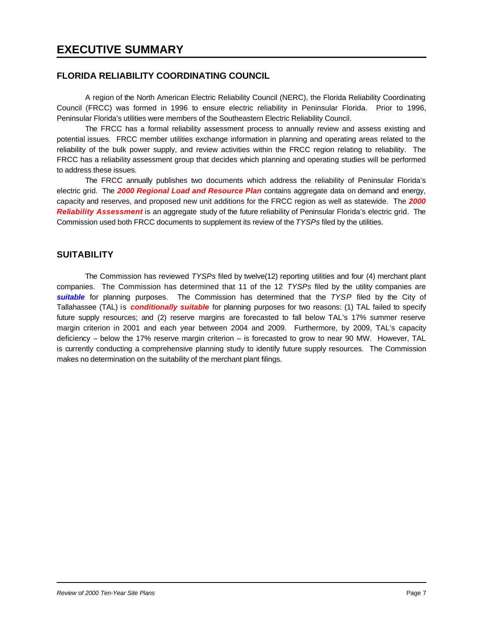#### **FLORIDA RELIABILITY COORDINATING COUNCIL**

A region of the North American Electric Reliability Council (NERC), the Florida Reliability Coordinating Council (FRCC) was formed in 1996 to ensure electric reliability in Peninsular Florida. Prior to 1996, Peninsular Florida's utilities were members of the Southeastern Electric Reliability Council.

The FRCC has a formal reliability assessment process to annually review and assess existing and potential issues. FRCC member utilities exchange information in planning and operating areas related to the reliability of the bulk power supply, and review activities within the FRCC region relating to reliability. The FRCC has a reliability assessment group that decides which planning and operating studies will be performed to address these issues.

The FRCC annually publishes two documents which address the reliability of Peninsular Florida's electric grid. The *2000 Regional Load and Resource Plan* contains aggregate data on demand and energy, capacity and reserves, and proposed new unit additions for the FRCC region as well as statewide. The *2000 Reliability Assessment* is an aggregate study of the future reliability of Peninsular Florida's electric grid. The Commission used both FRCC documents to supplement its review of the *TYSPs* filed by the utilities.

#### **SUITABILITY**

The Commission has reviewed *TYSPs* filed by twelve(12) reporting utilities and four (4) merchant plant companies. The Commission has determined that 11 of the 12 *TYSPs* filed by the utility companies are *suitable* for planning purposes. The Commission has determined that the *TYSP* filed by the City of Tallahassee (TAL) is *conditionally suitable* for planning purposes for two reasons: (1) TAL failed to specify future supply resources; and (2) reserve margins are forecasted to fall below TAL's 17% summer reserve margin criterion in 2001 and each year between 2004 and 2009. Furthermore, by 2009, TAL's capacity deficiency – below the 17% reserve margin criterion – is forecasted to grow to near 90 MW. However, TAL is currently conducting a comprehensive planning study to identify future supply resources. The Commission makes no determination on the suitability of the merchant plant filings.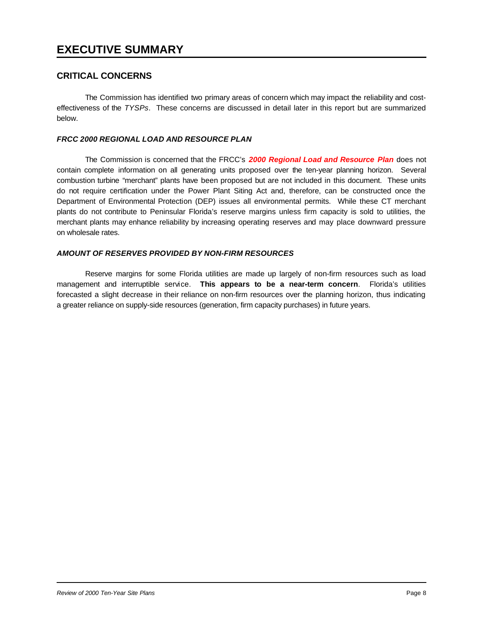#### **CRITICAL CONCERNS**

The Commission has identified two primary areas of concern which may impact the reliability and costeffectiveness of the *TYSPs*. These concerns are discussed in detail later in this report but are summarized below.

#### *FRCC 2000 REGIONAL LOAD AND RESOURCE PLAN*

The Commission is concerned that the FRCC's *2000 Regional Load and Resource Plan* does not contain complete information on all generating units proposed over the ten-year planning horizon. Several combustion turbine "merchant" plants have been proposed but are not included in this document. These units do not require certification under the Power Plant Siting Act and, therefore, can be constructed once the Department of Environmental Protection (DEP) issues all environmental permits. While these CT merchant plants do not contribute to Peninsular Florida's reserve margins unless firm capacity is sold to utilities, the merchant plants may enhance reliability by increasing operating reserves and may place downward pressure on wholesale rates.

#### *AMOUNT OF RESERVES PROVIDED BY NON-FIRM RESOURCES*

Reserve margins for some Florida utilities are made up largely of non-firm resources such as load management and interruptible service. **This appears to be a near-term concern**. Florida's utilities forecasted a slight decrease in their reliance on non-firm resources over the planning horizon, thus indicating a greater reliance on supply-side resources (generation, firm capacity purchases) in future years.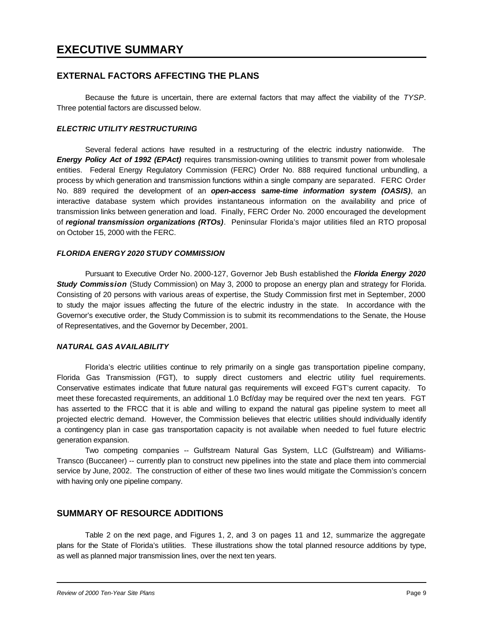#### **EXTERNAL FACTORS AFFECTING THE PLANS**

Because the future is uncertain, there are external factors that may affect the viability of the *TYSP*. Three potential factors are discussed below.

#### *ELECTRIC UTILITY RESTRUCTURING*

Several federal actions have resulted in a restructuring of the electric industry nationwide. The *Energy Policy Act of 1992 (EPAct)* requires transmission-owning utilities to transmit power from wholesale entities. Federal Energy Regulatory Commission (FERC) Order No. 888 required functional unbundling, a process by which generation and transmission functions within a single company are separated. FERC Order No. 889 required the development of an *open-access same-time information system (OASIS)*, an interactive database system which provides instantaneous information on the availability and price of transmission links between generation and load. Finally, FERC Order No. 2000 encouraged the development of *regional transmission organizations (RTOs)*. Peninsular Florida's major utilities filed an RTO proposal on October 15, 2000 with the FERC.

#### *FLORIDA ENERGY 2020 STUDY COMMISSION*

Pursuant to Executive Order No. 2000-127, Governor Jeb Bush established the *Florida Energy 2020 Study Commission* (Study Commission) on May 3, 2000 to propose an energy plan and strategy for Florida. Consisting of 20 persons with various areas of expertise, the Study Commission first met in September, 2000 to study the major issues affecting the future of the electric industry in the state. In accordance with the Governor's executive order, the Study Commission is to submit its recommendations to the Senate, the House of Representatives, and the Governor by December, 2001.

#### *NATURAL GAS AVAILABILITY*

Florida's electric utilities continue to rely primarily on a single gas transportation pipeline company, Florida Gas Transmission (FGT), to supply direct customers and electric utility fuel requirements. Conservative estimates indicate that future natural gas requirements will exceed FGT's current capacity. To meet these forecasted requirements, an additional 1.0 Bcf/day may be required over the next ten years. FGT has asserted to the FRCC that it is able and willing to expand the natural gas pipeline system to meet all projected electric demand. However, the Commission believes that electric utilities should individually identify a contingency plan in case gas transportation capacity is not available when needed to fuel future electric generation expansion.

Two competing companies -- Gulfstream Natural Gas System, LLC (Gulfstream) and Williams-Transco (Buccaneer) -- currently plan to construct new pipelines into the state and place them into commercial service by June, 2002. The construction of either of these two lines would mitigate the Commission's concern with having only one pipeline company.

#### **SUMMARY OF RESOURCE ADDITIONS**

Table 2 on the next page, and Figures 1, 2, and 3 on pages 11 and 12, summarize the aggregate plans for the State of Florida's utilities. These illustrations show the total planned resource additions by type, as well as planned major transmission lines, over the next ten years.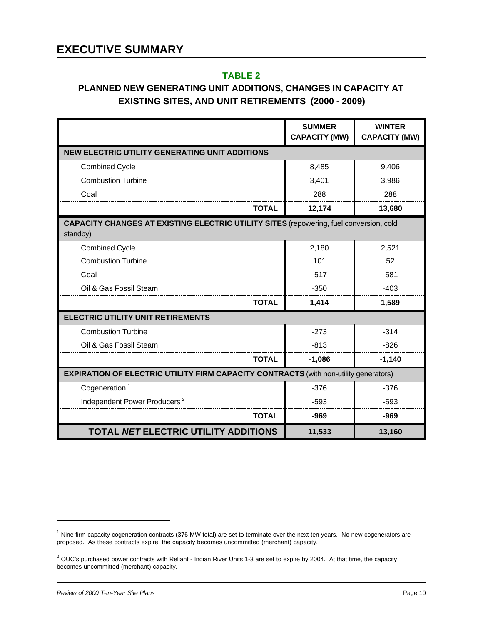### **TABLE 2**

### **PLANNED NEW GENERATING UNIT ADDITIONS, CHANGES IN CAPACITY AT EXISTING SITES, AND UNIT RETIREMENTS (2000 - 2009)**

|                                                                                                           | <b>SUMMER</b><br><b>CAPACITY (MW)</b> | <b>WINTER</b><br><b>CAPACITY (MW)</b> |
|-----------------------------------------------------------------------------------------------------------|---------------------------------------|---------------------------------------|
| <b>NEW ELECTRIC UTILITY GENERATING UNIT ADDITIONS</b>                                                     |                                       |                                       |
| <b>Combined Cycle</b>                                                                                     | 8,485                                 | 9,406                                 |
| <b>Combustion Turbine</b>                                                                                 | 3,401                                 | 3,986                                 |
| Coal                                                                                                      | 288                                   | 288                                   |
| <b>TOTAL</b>                                                                                              | 12,174                                | 13,680                                |
| <b>CAPACITY CHANGES AT EXISTING ELECTRIC UTILITY SITES (repowering, fuel conversion, cold</b><br>standby) |                                       |                                       |
| <b>Combined Cycle</b>                                                                                     | 2,180                                 | 2,521                                 |
| <b>Combustion Turbine</b>                                                                                 | 101                                   | 52                                    |
| Coal                                                                                                      | $-517$                                | $-581$                                |
| Oil & Gas Fossil Steam                                                                                    | $-350$                                | $-403$                                |
| <b>TOTAL</b>                                                                                              | 1,414                                 | 1,589                                 |
| <b>ELECTRIC UTILITY UNIT RETIREMENTS</b>                                                                  |                                       |                                       |
| <b>Combustion Turbine</b>                                                                                 | $-273$                                | $-314$                                |
| Oil & Gas Fossil Steam                                                                                    | $-813$                                | $-826$                                |
| <b>TOTAL</b>                                                                                              | $-1,086$                              | $-1,140$                              |
| <b>EXPIRATION OF ELECTRIC UTILITY FIRM CAPACITY CONTRACTS (with non-utility generators)</b>               |                                       |                                       |
| Cogeneration <sup>1</sup>                                                                                 | $-376$                                | $-376$                                |
| Independent Power Producers <sup>2</sup>                                                                  | $-593$                                | $-593$                                |
| <b>TOTAL</b>                                                                                              | -969                                  | $-969$                                |
| <b>TOTAL NET ELECTRIC UTILITY ADDITIONS</b>                                                               | 11,533                                | 13,160                                |

 $1$  Nine firm capacity cogeneration contracts (376 MW total) are set to terminate over the next ten years. No new cogenerators are proposed. As these contracts expire, the capacity becomes uncommitted (merchant) capacity.

 $2$  OUC's purchased power contracts with Reliant - Indian River Units 1-3 are set to expire by 2004. At that time, the capacity becomes uncommitted (merchant) capacity.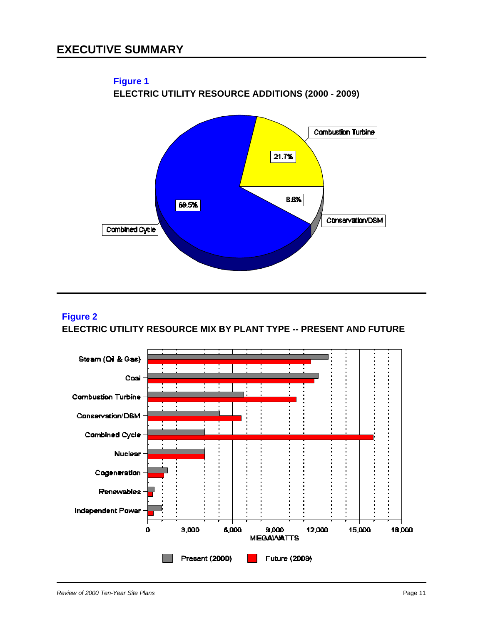

### **Figure 2 ELECTRIC UTILITY RESOURCE MIX BY PLANT TYPE -- PRESENT AND FUTURE**

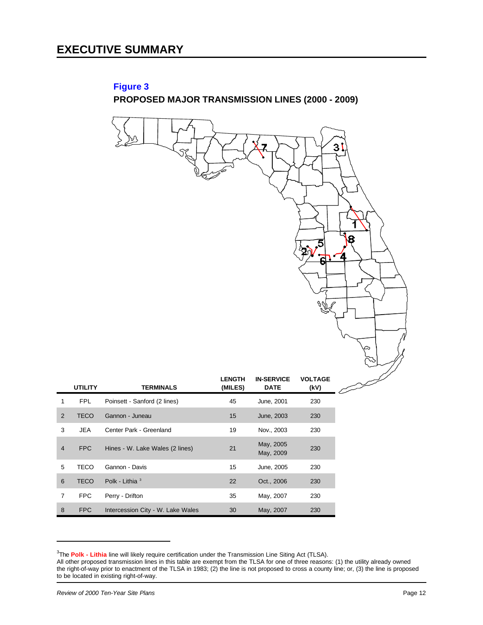$\left\langle \left\langle \right| \right| \right.$ 

### **Figure 3 PROPOSED MAJOR TRANSMISSION LINES (2000 - 2009)**

|                         |                |                                   |                          |                                  |                        | 3 <sup>′</sup><br>8<br>4 |
|-------------------------|----------------|-----------------------------------|--------------------------|----------------------------------|------------------------|--------------------------|
|                         | <b>UTILITY</b> | <b>TERMINALS</b>                  | <b>LENGTH</b><br>(MILES) | <b>IN-SERVICE</b><br><b>DATE</b> | <b>VOLTAGE</b><br>(kV) |                          |
| 1                       | FPL            | Poinsett - Sanford (2 lines)      | 45                       | June, 2001                       | 230                    |                          |
| $\overline{\mathbf{c}}$ | <b>TECO</b>    | Gannon - Juneau                   | 15                       | June, 2003                       | 230                    |                          |
| 3                       | <b>JEA</b>     | Center Park - Greenland           | 19                       | Nov., 2003                       | 230                    |                          |
| 4                       | ${\sf FPC}$    | Hines - W. Lake Wales (2 lines)   | 21                       | May, 2005<br>May, 2009           | 230                    |                          |
| 5                       | <b>TECO</b>    | Gannon - Davis                    | 15                       | June, 2005                       | 230                    |                          |
| 6                       | <b>TECO</b>    | Polk - Lithia <sup>3</sup>        | 22                       | Oct., 2006                       | 230                    |                          |
| 7                       | <b>FPC</b>     | Perry - Drifton                   | 35                       | May, 2007                        | 230                    |                          |
| 8                       | <b>FPC</b>     | Intercession City - W. Lake Wales | 30                       | May, 2007                        | 230                    |                          |

<sup>&</sup>lt;sup>3</sup>The Polk - Lithia line will likely require certification under the Transmission Line Siting Act (TLSA).

All other proposed transmission lines in this table are exempt from the TLSA for one of three reasons: (1) the utility already owned the right-of-way prior to enactment of the TLSA in 1983; (2) the line is not proposed to cross a county line; or, (3) the line is proposed to be located in existing right-of-way.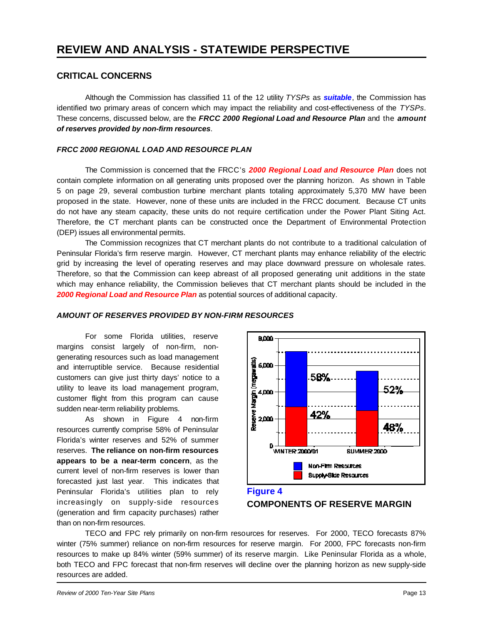#### **CRITICAL CONCERNS**

Although the Commission has classified 11 of the 12 utility *TYSPs* as *suitable*, the Commission has identified two primary areas of concern which may impact the reliability and cost-effectiveness of the *TYSPs*. These concerns, discussed below, are the *FRCC 2000 Regional Load and Resource Plan* and the *amount of reserves provided by non-firm resources*.

#### *FRCC 2000 REGIONAL LOAD AND RESOURCE PLAN*

The Commission is concerned that the FRCC's *2000 Regional Load and Resource Plan* does not contain complete information on all generating units proposed over the planning horizon. As shown in Table 5 on page 29, several combustion turbine merchant plants totaling approximately 5,370 MW have been proposed in the state. However, none of these units are included in the FRCC document. Because CT units do not have any steam capacity, these units do not require certification under the Power Plant Siting Act. Therefore, the CT merchant plants can be constructed once the Department of Environmental Protection (DEP) issues all environmental permits.

The Commission recognizes that CT merchant plants do not contribute to a traditional calculation of Peninsular Florida's firm reserve margin. However, CT merchant plants may enhance reliability of the electric grid by increasing the level of operating reserves and may place downward pressure on wholesale rates. Therefore, so that the Commission can keep abreast of all proposed generating unit additions in the state which may enhance reliability, the Commission believes that CT merchant plants should be included in the *2000 Regional Load and Resource Plan* as potential sources of additional capacity.

#### *AMOUNT OF RESERVES PROVIDED BY NON-FIRM RESOURCES*

For some Florida utilities, reserve margins consist largely of non-firm, nongenerating resources such as load management and interruptible service. Because residential customers can give just thirty days' notice to a utility to leave its load management program, customer flight from this program can cause sudden near-term reliability problems.

As shown in Figure 4 non-firm resources currently comprise 58% of Peninsular Florida's winter reserves and 52% of summer reserves. **The reliance on non-firm resources appears to be a near-term concern**, as the current level of non-firm reserves is lower than forecasted just last year. This indicates that Peninsular Florida's utilities plan to rely increasingly on supply-side resources (generation and firm capacity purchases) rather than on non-firm resources.



#### **Figure 4 COMPONENTS OF RESERVE MARGIN**

TECO and FPC rely primarily on non-firm resources for reserves. For 2000, TECO forecasts 87% winter (75% summer) reliance on non-firm resources for reserve margin. For 2000, FPC forecasts non-firm resources to make up 84% winter (59% summer) of its reserve margin. Like Peninsular Florida as a whole, both TECO and FPC forecast that non-firm reserves will decline over the planning horizon as new supply-side resources are added.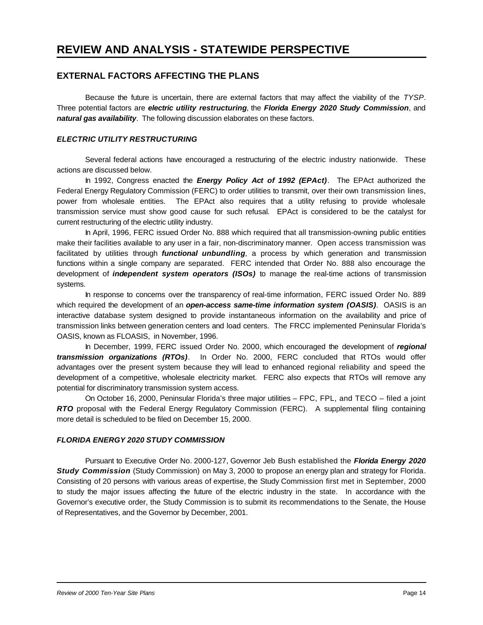#### **EXTERNAL FACTORS AFFECTING THE PLANS**

Because the future is uncertain, there are external factors that may affect the viability of the *TYSP*. Three potential factors are *electric utility restructuring*, the *Florida Energy 2020 Study Commission*, and *natural gas availability*. The following discussion elaborates on these factors.

#### *ELECTRIC UTILITY RESTRUCTURING*

Several federal actions have encouraged a restructuring of the electric industry nationwide. These actions are discussed below.

In 1992, Congress enacted the *Energy Policy Act of 1992 (EPAct)*. The EPAct authorized the Federal Energy Regulatory Commission (FERC) to order utilities to transmit, over their own transmission lines, power from wholesale entities. The EPAct also requires that a utility refusing to provide wholesale transmission service must show good cause for such refusal. EPAct is considered to be the catalyst for current restructuring of the electric utility industry.

In April, 1996, FERC issued Order No. 888 which required that all transmission-owning public entities make their facilities available to any user in a fair, non-discriminatory manner. Open access transmission was facilitated by utilities through *functional unbundling*, a process by which generation and transmission functions within a single company are separated. FERC intended that Order No. 888 also encourage the development of *independent system operators (ISOs)* to manage the real-time actions of transmission systems.

In response to concerns over the transparency of real-time information, FERC issued Order No. 889 which required the development of an *open-access same-time information system (OASIS)*. OASIS is an interactive database system designed to provide instantaneous information on the availability and price of transmission links between generation centers and load centers. The FRCC implemented Peninsular Florida's OASIS, known as FLOASIS, in November, 1996.

In December, 1999, FERC issued Order No. 2000, which encouraged the development of *regional transmission organizations (RTOs)*. In Order No. 2000, FERC concluded that RTOs would offer advantages over the present system because they will lead to enhanced regional reliability and speed the development of a competitive, wholesale electricity market. FERC also expects that RTOs will remove any potential for discriminatory transmission system access.

On October 16, 2000, Peninsular Florida's three major utilities – FPC, FPL, and TECO – filed a joint *RTO* proposal with the Federal Energy Regulatory Commission (FERC). A supplemental filing containing more detail is scheduled to be filed on December 15, 2000.

#### *FLORIDA ENERGY 2020 STUDY COMMISSION*

Pursuant to Executive Order No. 2000-127, Governor Jeb Bush established the *Florida Energy 2020 Study Commission* (Study Commission) on May 3, 2000 to propose an energy plan and strategy for Florida. Consisting of 20 persons with various areas of expertise, the Study Commission first met in September, 2000 to study the major issues affecting the future of the electric industry in the state. In accordance with the Governor's executive order, the Study Commission is to submit its recommendations to the Senate, the House of Representatives, and the Governor by December, 2001.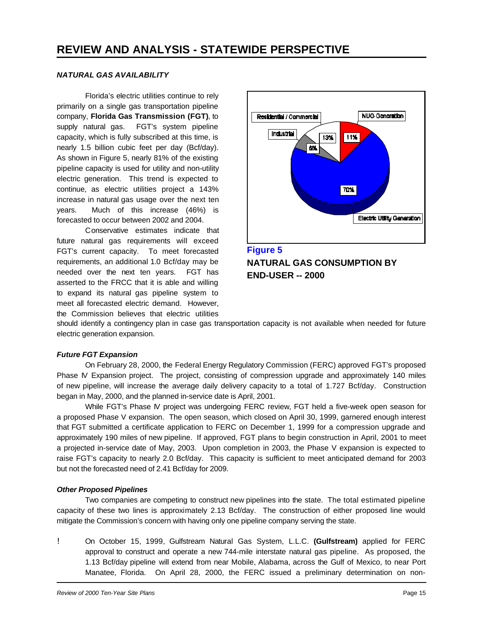#### *NATURAL GAS AVAILABILITY*

Florida's electric utilities continue to rely primarily on a single gas transportation pipeline company, **Florida Gas Transmission (FGT)**, to supply natural gas. FGT's system pipeline capacity, which is fully subscribed at this time, is nearly 1.5 billion cubic feet per day (Bcf/day). As shown in Figure 5, nearly 81% of the existing pipeline capacity is used for utility and non-utility electric generation. This trend is expected to continue, as electric utilities project a 143% increase in natural gas usage over the next ten years. Much of this increase (46%) is forecasted to occur between 2002 and 2004.

Conservative estimates indicate that future natural gas requirements will exceed FGT's current capacity. To meet forecasted requirements, an additional 1.0 Bcf/day may be needed over the next ten years. FGT has asserted to the FRCC that it is able and willing to expand its natural gas pipeline system to meet all forecasted electric demand. However, the Commission believes that electric utilities



**Figure 5 NATURAL GAS CONSUMPTION BY END-USER -- 2000**

should identify a contingency plan in case gas transportation capacity is not available when needed for future electric generation expansion.

#### *Future FGT Expansion*

On February 28, 2000, the Federal Energy Regulatory Commission (FERC) approved FGT's proposed Phase IV Expansion project. The project, consisting of compression upgrade and approximately 140 miles of new pipeline, will increase the average daily delivery capacity to a total of 1.727 Bcf/day. Construction began in May, 2000, and the planned in-service date is April, 2001.

While FGT's Phase IV project was undergoing FERC review, FGT held a five-week open season for a proposed Phase V expansion. The open season, which closed on April 30, 1999, garnered enough interest that FGT submitted a certificate application to FERC on December 1, 1999 for a compression upgrade and approximately 190 miles of new pipeline. If approved, FGT plans to begin construction in April, 2001 to meet a projected in-service date of May, 2003. Upon completion in 2003, the Phase V expansion is expected to raise FGT's capacity to nearly 2.0 Bcf/day. This capacity is sufficient to meet anticipated demand for 2003 but not the forecasted need of 2.41 Bcf/day for 2009.

#### *Other Proposed Pipelines*

Two companies are competing to construct new pipelines into the state. The total estimated pipeline capacity of these two lines is approximately 2.13 Bcf/day. The construction of either proposed line would mitigate the Commission's concern with having only one pipeline company serving the state.

! On October 15, 1999, Gulfstream Natural Gas System, L.L.C. **(Gulfstream)** applied for FERC approval to construct and operate a new 744-mile interstate natural gas pipeline. As proposed, the 1.13 Bcf/day pipeline will extend from near Mobile, Alabama, across the Gulf of Mexico, to near Port Manatee, Florida. On April 28, 2000, the FERC issued a preliminary determination on non-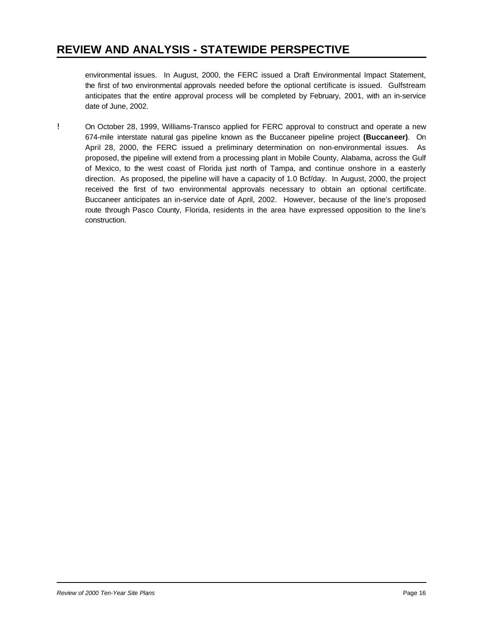environmental issues. In August, 2000, the FERC issued a Draft Environmental Impact Statement, the first of two environmental approvals needed before the optional certificate is issued. Gulfstream anticipates that the entire approval process will be completed by February, 2001, with an in-service date of June, 2002.

! On October 28, 1999, Williams-Transco applied for FERC approval to construct and operate a new 674-mile interstate natural gas pipeline known as the Buccaneer pipeline project **(Buccaneer)**. On April 28, 2000, the FERC issued a preliminary determination on non-environmental issues. As proposed, the pipeline will extend from a processing plant in Mobile County, Alabama, across the Gulf of Mexico, to the west coast of Florida just north of Tampa, and continue onshore in a easterly direction. As proposed, the pipeline will have a capacity of 1.0 Bcf/day. In August, 2000, the project received the first of two environmental approvals necessary to obtain an optional certificate. Buccaneer anticipates an in-service date of April, 2002. However, because of the line's proposed route through Pasco County, Florida, residents in the area have expressed opposition to the line's construction.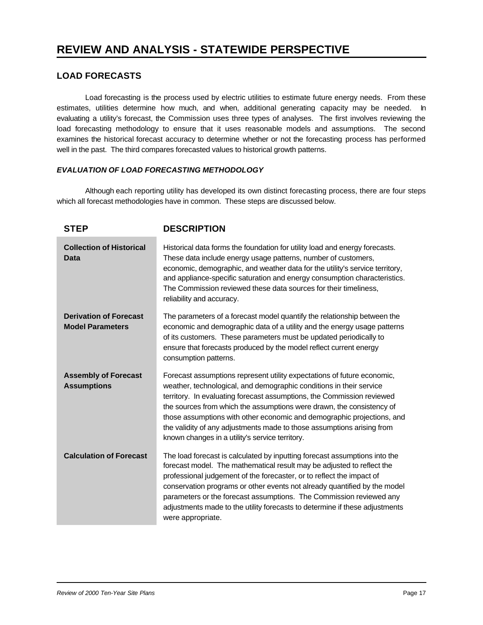#### **LOAD FORECASTS**

Load forecasting is the process used by electric utilities to estimate future energy needs. From these estimates, utilities determine how much, and when, additional generating capacity may be needed. In evaluating a utility's forecast, the Commission uses three types of analyses. The first involves reviewing the load forecasting methodology to ensure that it uses reasonable models and assumptions. The second examines the historical forecast accuracy to determine whether or not the forecasting process has performed well in the past. The third compares forecasted values to historical growth patterns.

#### *EVALUATION OF LOAD FORECASTING METHODOLOGY*

Although each reporting utility has developed its own distinct forecasting process, there are four steps which all forecast methodologies have in common. These steps are discussed below.

| <b>STEP</b>                                              | <b>DESCRIPTION</b>                                                                                                                                                                                                                                                                                                                                                                                                                                                                                       |
|----------------------------------------------------------|----------------------------------------------------------------------------------------------------------------------------------------------------------------------------------------------------------------------------------------------------------------------------------------------------------------------------------------------------------------------------------------------------------------------------------------------------------------------------------------------------------|
| <b>Collection of Historical</b><br>Data                  | Historical data forms the foundation for utility load and energy forecasts.<br>These data include energy usage patterns, number of customers,<br>economic, demographic, and weather data for the utility's service territory,<br>and appliance-specific saturation and energy consumption characteristics.<br>The Commission reviewed these data sources for their timeliness,<br>reliability and accuracy.                                                                                              |
| <b>Derivation of Forecast</b><br><b>Model Parameters</b> | The parameters of a forecast model quantify the relationship between the<br>economic and demographic data of a utility and the energy usage patterns<br>of its customers. These parameters must be updated periodically to<br>ensure that forecasts produced by the model reflect current energy<br>consumption patterns.                                                                                                                                                                                |
| <b>Assembly of Forecast</b><br><b>Assumptions</b>        | Forecast assumptions represent utility expectations of future economic,<br>weather, technological, and demographic conditions in their service<br>territory. In evaluating forecast assumptions, the Commission reviewed<br>the sources from which the assumptions were drawn, the consistency of<br>those assumptions with other economic and demographic projections, and<br>the validity of any adjustments made to those assumptions arising from<br>known changes in a utility's service territory. |
| <b>Calculation of Forecast</b>                           | The load forecast is calculated by inputting forecast assumptions into the<br>forecast model. The mathematical result may be adjusted to reflect the<br>professional judgement of the forecaster, or to reflect the impact of<br>conservation programs or other events not already quantified by the model<br>parameters or the forecast assumptions. The Commission reviewed any<br>adjustments made to the utility forecasts to determine if these adjustments<br>were appropriate.                    |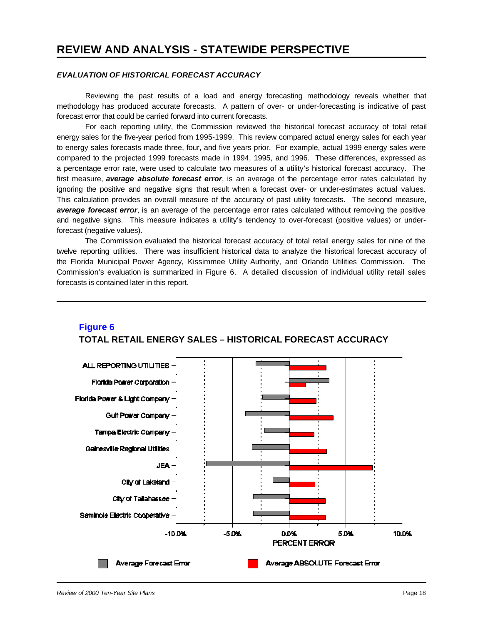#### *EVALUATION OF HISTORICAL FORECAST ACCURACY*

Reviewing the past results of a load and energy forecasting methodology reveals whether that methodology has produced accurate forecasts. A pattern of over- or under-forecasting is indicative of past forecast error that could be carried forward into current forecasts.

For each reporting utility, the Commission reviewed the historical forecast accuracy of total retail energy sales for the five-year period from 1995-1999. This review compared actual energy sales for each year to energy sales forecasts made three, four, and five years prior. For example, actual 1999 energy sales were compared to the projected 1999 forecasts made in 1994, 1995, and 1996. These differences, expressed as a percentage error rate, were used to calculate two measures of a utility's historical forecast accuracy. The first measure, *average absolute forecast error*, is an average of the percentage error rates calculated by ignoring the positive and negative signs that result when a forecast over- or under-estimates actual values. This calculation provides an overall measure of the accuracy of past utility forecasts. The second measure, *average forecast error*, is an average of the percentage error rates calculated without removing the positive and negative signs. This measure indicates a utility's tendency to over-forecast (positive values) or underforecast (negative values).

The Commission evaluated the historical forecast accuracy of total retail energy sales for nine of the twelve reporting utilities. There was insufficient historical data to analyze the historical forecast accuracy of the Florida Municipal Power Agency, Kissimmee Utility Authority, and Orlando Utilities Commission. The Commission's evaluation is summarized in Figure 6. A detailed discussion of individual utility retail sales forecasts is contained later in this report.



#### **Figure 6 TOTAL RETAIL ENERGY SALES – HISTORICAL FORECAST ACCURACY**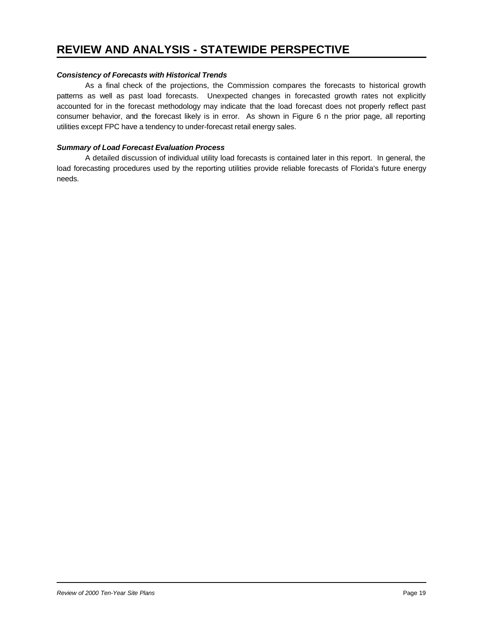#### *Consistency of Forecasts with Historical Trends*

As a final check of the projections, the Commission compares the forecasts to historical growth patterns as well as past load forecasts. Unexpected changes in forecasted growth rates not explicitly accounted for in the forecast methodology may indicate that the load forecast does not properly reflect past consumer behavior, and the forecast likely is in error. As shown in Figure 6 n the prior page, all reporting utilities except FPC have a tendency to under-forecast retail energy sales.

#### *Summary of Load Forecast Evaluation Process*

A detailed discussion of individual utility load forecasts is contained later in this report. In general, the load forecasting procedures used by the reporting utilities provide reliable forecasts of Florida's future energy needs.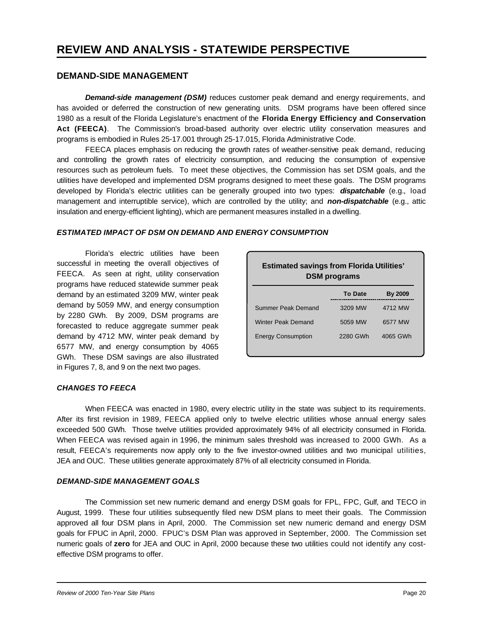#### **DEMAND-SIDE MANAGEMENT**

*Demand-side management (DSM)* reduces customer peak demand and energy requirements, and has avoided or deferred the construction of new generating units. DSM programs have been offered since 1980 as a result of the Florida Legislature's enactment of the **Florida Energy Efficiency and Conservation Act (FEECA)**. The Commission's broad-based authority over electric utility conservation measures and programs is embodied in Rules 25-17.001 through 25-17.015, Florida Administrative Code.

FEECA places emphasis on reducing the growth rates of weather-sensitive peak demand, reducing and controlling the growth rates of electricity consumption, and reducing the consumption of expensive resources such as petroleum fuels. To meet these objectives, the Commission has set DSM goals, and the utilities have developed and implemented DSM programs designed to meet these goals. The DSM programs developed by Florida's electric utilities can be generally grouped into two types: *dispatchable* (e.g., load management and interruptible service), which are controlled by the utility; and *non-dispatchable* (e.g., attic insulation and energy-efficient lighting), which are permanent measures installed in a dwelling.

#### *ESTIMATED IMPACT OF DSM ON DEMAND AND ENERGY CONSUMPTION*

Florida's electric utilities have been successful in meeting the overall objectives of FEECA. As seen at right, utility conservation programs have reduced statewide summer peak demand by an estimated 3209 MW, winter peak demand by 5059 MW, and energy consumption by 2280 GWh. By 2009, DSM programs are forecasted to reduce aggregate summer peak demand by 4712 MW, winter peak demand by 6577 MW, and energy consumption by 4065 GWh. These DSM savings are also illustrated in Figures 7, 8, and 9 on the next two pages.

| <b>Estimated savings from Florida Utilities'</b><br><b>DSM</b> programs |          |          |  |  |  |  |
|-------------------------------------------------------------------------|----------|----------|--|--|--|--|
| <b>To Date</b><br>By 2009                                               |          |          |  |  |  |  |
| Summer Peak Demand                                                      | 3209 MW  | 4712 MW  |  |  |  |  |
| Winter Peak Demand                                                      | 5059 MW  | 6577 MW  |  |  |  |  |
| <b>Energy Consumption</b>                                               | 2280 GWh | 4065 GWh |  |  |  |  |

#### *CHANGES TO FEECA*

When FEECA was enacted in 1980, every electric utility in the state was subject to its requirements. After its first revision in 1989, FEECA applied only to twelve electric utilities whose annual energy sales exceeded 500 GWh. Those twelve utilities provided approximately 94% of all electricity consumed in Florida. When FEECA was revised again in 1996, the minimum sales threshold was increased to 2000 GWh. As a result, FEECA's requirements now apply only to the five investor-owned utilities and two municipal utilities, JEA and OUC. These utilities generate approximately 87% of all electricity consumed in Florida.

#### *DEMAND-SIDE MANAGEMENT GOALS*

The Commission set new numeric demand and energy DSM goals for FPL, FPC, Gulf, and TECO in August, 1999. These four utilities subsequently filed new DSM plans to meet their goals. The Commission approved all four DSM plans in April, 2000. The Commission set new numeric demand and energy DSM goals for FPUC in April, 2000. FPUC's DSM Plan was approved in September, 2000. The Commission set numeric goals of **zero** for JEA and OUC in April, 2000 because these two utilities could not identify any costeffective DSM programs to offer.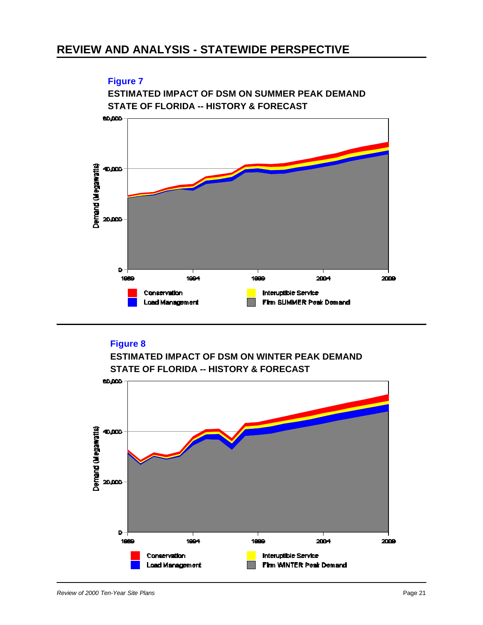

### **Figure 8**



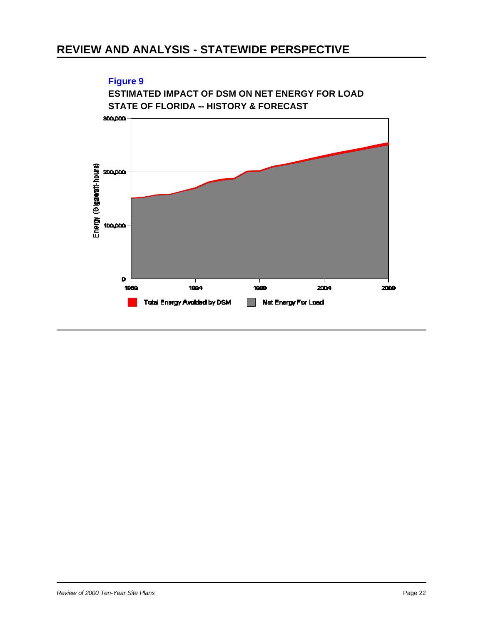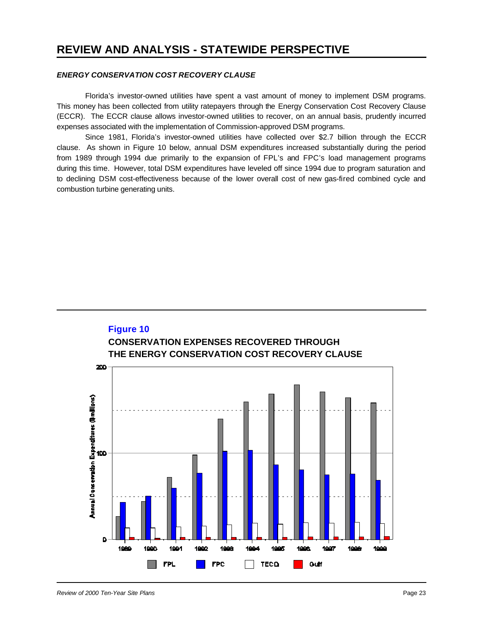#### *ENERGY CONSERVATION COST RECOVERY CLAUSE*

Florida's investor-owned utilities have spent a vast amount of money to implement DSM programs. This money has been collected from utility ratepayers through the Energy Conservation Cost Recovery Clause (ECCR). The ECCR clause allows investor-owned utilities to recover, on an annual basis, prudently incurred expenses associated with the implementation of Commission-approved DSM programs.

Since 1981, Florida's investor-owned utilities have collected over \$2.7 billion through the ECCR clause. As shown in Figure 10 below, annual DSM expenditures increased substantially during the period from 1989 through 1994 due primarily to the expansion of FPL's and FPC's load management programs during this time. However, total DSM expenditures have leveled off since 1994 due to program saturation and to declining DSM cost-effectiveness because of the lower overall cost of new gas-fired combined cycle and combustion turbine generating units.

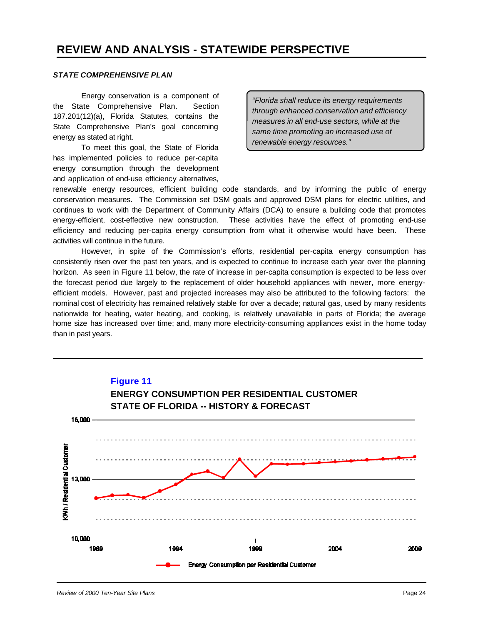#### *STATE COMPREHENSIVE PLAN*

Energy conservation is a component of the State Comprehensive Plan. Section 187.201(12)(a), Florida Statutes, contains the State Comprehensive Plan's goal concerning energy as stated at right.

To meet this goal, the State of Florida has implemented policies to reduce per-capita energy consumption through the development and application of end-use efficiency alternatives,

*"Florida shall reduce its energy requirements through enhanced conservation and efficiency measures in all end-use sectors, while at the same time promoting an increased use of renewable energy resources."*

renewable energy resources, efficient building code standards, and by informing the public of energy conservation measures. The Commission set DSM goals and approved DSM plans for electric utilities, and continues to work with the Department of Community Affairs (DCA) to ensure a building code that promotes energy-efficient, cost-effective new construction. These activities have the effect of promoting end-use efficiency and reducing per-capita energy consumption from what it otherwise would have been. These activities will continue in the future.

However, in spite of the Commission's efforts, residential per-capita energy consumption has consistently risen over the past ten years, and is expected to continue to increase each year over the planning horizon. As seen in Figure 11 below, the rate of increase in per-capita consumption is expected to be less over the forecast period due largely to the replacement of older household appliances with newer, more energyefficient models. However, past and projected increases may also be attributed to the following factors: the nominal cost of electricity has remained relatively stable for over a decade; natural gas, used by many residents nationwide for heating, water heating, and cooking, is relatively unavailable in parts of Florida; the average home size has increased over time; and, many more electricity-consuming appliances exist in the home today than in past years.

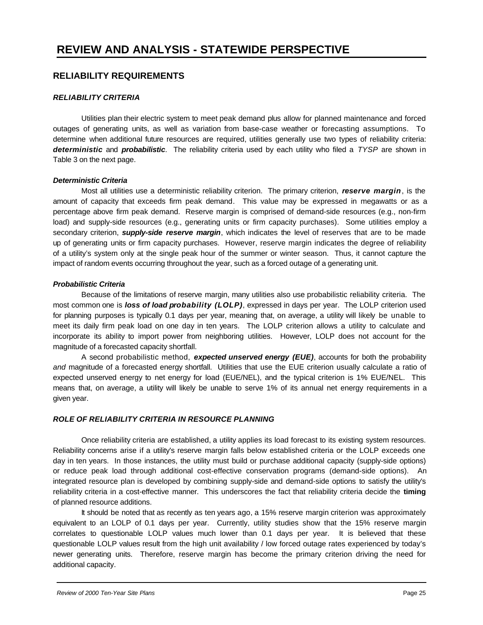#### **RELIABILITY REQUIREMENTS**

#### *RELIABILITY CRITERIA*

Utilities plan their electric system to meet peak demand plus allow for planned maintenance and forced outages of generating units, as well as variation from base-case weather or forecasting assumptions. To determine when additional future resources are required, utilities generally use two types of reliability criteria: *deterministic* and *probabilistic*. The reliability criteria used by each utility who filed a *TYSP* are shown in Table 3 on the next page.

#### *Deterministic Criteria*

Most all utilities use a deterministic reliability criterion. The primary criterion, *reserve margin*, is the amount of capacity that exceeds firm peak demand. This value may be expressed in megawatts or as a percentage above firm peak demand. Reserve margin is comprised of demand-side resources (e.g., non-firm load) and supply-side resources (e.g., generating units or firm capacity purchases). Some utilities employ a secondary criterion, *supply-side reserve margin*, which indicates the level of reserves that are to be made up of generating units or firm capacity purchases. However, reserve margin indicates the degree of reliability of a utility's system only at the single peak hour of the summer or winter season. Thus, it cannot capture the impact of random events occurring throughout the year, such as a forced outage of a generating unit.

#### *Probabilistic Criteria*

Because of the limitations of reserve margin, many utilities also use probabilistic reliability criteria. The most common one is *loss of load probability (LOLP)*, expressed in days per year. The LOLP criterion used for planning purposes is typically 0.1 days per year, meaning that, on average, a utility will likely be unable to meet its daily firm peak load on one day in ten years. The LOLP criterion allows a utility to calculate and incorporate its ability to import power from neighboring utilities. However, LOLP does not account for the magnitude of a forecasted capacity shortfall.

A second probabilistic method, *expected unserved energy (EUE)*, accounts for both the probability *and* magnitude of a forecasted energy shortfall. Utilities that use the EUE criterion usually calculate a ratio of expected unserved energy to net energy for load (EUE/NEL), and the typical criterion is 1% EUE/NEL. This means that, on average, a utility will likely be unable to serve 1% of its annual net energy requirements in a given year.

#### *ROLE OF RELIABILITY CRITERIA IN RESOURCE PLANNING*

Once reliability criteria are established, a utility applies its load forecast to its existing system resources. Reliability concerns arise if a utility's reserve margin falls below established criteria or the LOLP exceeds one day in ten years. In those instances, the utility must build or purchase additional capacity (supply-side options) or reduce peak load through additional cost-effective conservation programs (demand-side options). An integrated resource plan is developed by combining supply-side and demand-side options to satisfy the utility's reliability criteria in a cost-effective manner. This underscores the fact that reliability criteria decide the **timing** of planned resource additions.

It should be noted that as recently as ten years ago, a 15% reserve margin criterion was approximately equivalent to an LOLP of 0.1 days per year. Currently, utility studies show that the 15% reserve margin correlates to questionable LOLP values much lower than 0.1 days per year. It is believed that these questionable LOLP values result from the high unit availability / low forced outage rates experienced by today's newer generating units. Therefore, reserve margin has become the primary criterion driving the need for additional capacity.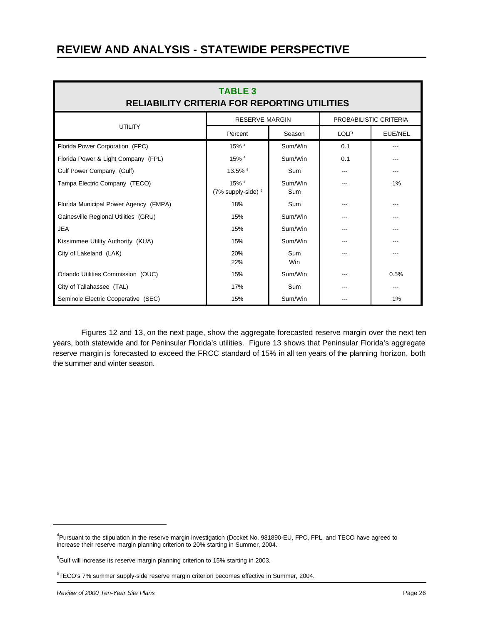| <b>TABLE 3</b><br><b>RELIABILITY CRITERIA FOR REPORTING UTILITIES</b> |                             |                |                        |         |  |  |  |
|-----------------------------------------------------------------------|-----------------------------|----------------|------------------------|---------|--|--|--|
|                                                                       | <b>RESERVE MARGIN</b>       |                | PROBABILISTIC CRITERIA |         |  |  |  |
| <b>UTILITY</b>                                                        | Percent                     | Season         | <b>LOLP</b>            | EUE/NEL |  |  |  |
| Florida Power Corporation (FPC)                                       | 15% 4                       | Sum/Win        | 0.1                    |         |  |  |  |
| Florida Power & Light Company (FPL)                                   | 15% 4                       | Sum/Win        | 0.1                    |         |  |  |  |
| Gulf Power Company (Gulf)                                             | 13.5% 5                     | Sum            |                        |         |  |  |  |
| Tampa Electric Company (TECO)                                         | 15% 4<br>(7% supply-side) 6 | Sum/Win<br>Sum |                        | 1%      |  |  |  |
| Florida Municipal Power Agency (FMPA)                                 | 18%                         | Sum            |                        |         |  |  |  |
| Gainesville Regional Utilities (GRU)                                  | 15%                         | Sum/Win        |                        |         |  |  |  |
| <b>JEA</b>                                                            | 15%                         | Sum/Win        |                        |         |  |  |  |
| Kissimmee Utility Authority (KUA)                                     | 15%                         | Sum/Win        |                        |         |  |  |  |
| City of Lakeland (LAK)                                                | 20%<br>22%                  | Sum<br>Win     |                        |         |  |  |  |
| Orlando Utilities Commission (OUC)                                    | 15%                         | Sum/Win        |                        | 0.5%    |  |  |  |
| City of Tallahassee (TAL)                                             | 17%                         | Sum            |                        | ---     |  |  |  |
| Seminole Electric Cooperative (SEC)                                   | 15%                         | Sum/Win        |                        | 1%      |  |  |  |

Figures 12 and 13, on the next page, show the aggregate forecasted reserve margin over the next ten years, both statewide and for Peninsular Florida's utilities. Figure 13 shows that Peninsular Florida's aggregate reserve margin is forecasted to exceed the FRCC standard of 15% in all ten years of the planning horizon, both the summer and winter season.

<sup>&</sup>lt;sup>4</sup>Pursuant to the stipulation in the reserve margin investigation (Docket No. 981890-EU, FPC, FPL, and TECO have agreed to increase their reserve margin planning criterion to 20% starting in Summer, 2004.

<sup>&</sup>lt;sup>5</sup>Gulf will increase its reserve margin planning criterion to 15% starting in 2003.

<sup>6</sup> TECO's 7% summer supply-side reserve margin criterion becomes effective in Summer, 2004.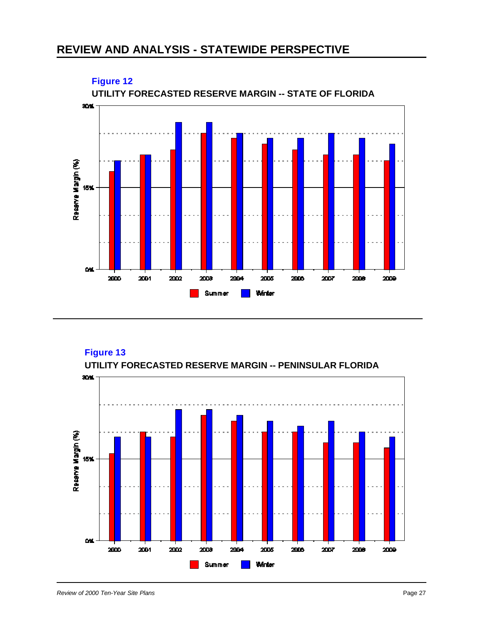

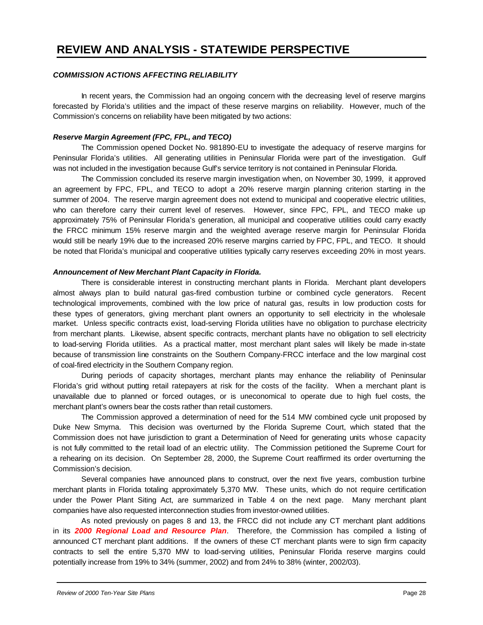#### *COMMISSION ACTIONS AFFECTING RELIABILITY*

In recent years, the Commission had an ongoing concern with the decreasing level of reserve margins forecasted by Florida's utilities and the impact of these reserve margins on reliability. However, much of the Commission's concerns on reliability have been mitigated by two actions:

#### *Reserve Margin Agreement (FPC, FPL, and TECO)*

The Commission opened Docket No. 981890-EU to investigate the adequacy of reserve margins for Peninsular Florida's utilities. All generating utilities in Peninsular Florida were part of the investigation. Gulf was not included in the investigation because Gulf's service territory is not contained in Peninsular Florida.

The Commission concluded its reserve margin investigation when, on November 30, 1999, it approved an agreement by FPC, FPL, and TECO to adopt a 20% reserve margin planning criterion starting in the summer of 2004. The reserve margin agreement does not extend to municipal and cooperative electric utilities, who can therefore carry their current level of reserves. However, since FPC, FPL, and TECO make up approximately 75% of Peninsular Florida's generation, all municipal and cooperative utilities could carry exactly the FRCC minimum 15% reserve margin and the weighted average reserve margin for Peninsular Florida would still be nearly 19% due to the increased 20% reserve margins carried by FPC, FPL, and TECO. It should be noted that Florida's municipal and cooperative utilities typically carry reserves exceeding 20% in most years.

#### *Announcement of New Merchant Plant Capacity in Florida.*

There is considerable interest in constructing merchant plants in Florida. Merchant plant developers almost always plan to build natural gas-fired combustion turbine or combined cycle generators. Recent technological improvements, combined with the low price of natural gas, results in low production costs for these types of generators, giving merchant plant owners an opportunity to sell electricity in the wholesale market. Unless specific contracts exist, load-serving Florida utilities have no obligation to purchase electricity from merchant plants. Likewise, absent specific contracts, merchant plants have no obligation to sell electricity to load-serving Florida utilities. As a practical matter, most merchant plant sales will likely be made in-state because of transmission line constraints on the Southern Company-FRCC interface and the low marginal cost of coal-fired electricity in the Southern Company region.

During periods of capacity shortages, merchant plants may enhance the reliability of Peninsular Florida's grid without putting retail ratepayers at risk for the costs of the facility. When a merchant plant is unavailable due to planned or forced outages, or is uneconomical to operate due to high fuel costs, the merchant plant's owners bear the costs rather than retail customers.

The Commission approved a determination of need for the 514 MW combined cycle unit proposed by Duke New Smyrna. This decision was overturned by the Florida Supreme Court, which stated that the Commission does not have jurisdiction to grant a Determination of Need for generating units whose capacity is not fully committed to the retail load of an electric utility. The Commission petitioned the Supreme Court for a rehearing on its decision. On September 28, 2000, the Supreme Court reaffirmed its order overturning the Commission's decision.

Several companies have announced plans to construct, over the next five years, combustion turbine merchant plants in Florida totaling approximately 5,370 MW. These units, which do not require certification under the Power Plant Siting Act, are summarized in Table 4 on the next page. Many merchant plant companies have also requested interconnection studies from investor-owned utilities.

As noted previously on pages 8 and 13, the FRCC did not include any CT merchant plant additions in its *2000 Regional Load and Resource Plan*. Therefore, the Commission has compiled a listing of announced CT merchant plant additions. If the owners of these CT merchant plants were to sign firm capacity contracts to sell the entire 5,370 MW to load-serving utilities, Peninsular Florida reserve margins could potentially increase from 19% to 34% (summer, 2002) and from 24% to 38% (winter, 2002/03).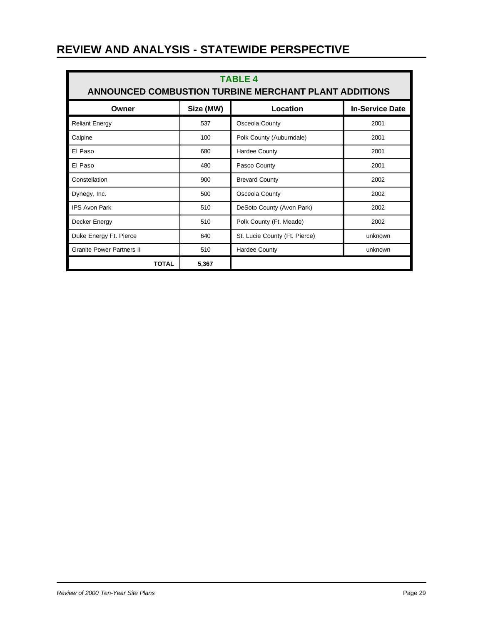| <b>TABLE 4</b><br>ANNOUNCED COMBUSTION TURBINE MERCHANT PLANT ADDITIONS |     |                               |         |  |  |  |
|-------------------------------------------------------------------------|-----|-------------------------------|---------|--|--|--|
| Size (MW)<br>Location<br><b>In-Service Date</b><br>Owner                |     |                               |         |  |  |  |
| <b>Reliant Energy</b>                                                   | 537 | Osceola County                | 2001    |  |  |  |
| Calpine                                                                 | 100 | Polk County (Auburndale)      | 2001    |  |  |  |
| El Paso                                                                 | 680 | <b>Hardee County</b>          | 2001    |  |  |  |
| El Paso                                                                 | 480 | Pasco County                  | 2001    |  |  |  |
| Constellation                                                           | 900 | <b>Brevard County</b>         | 2002    |  |  |  |
| Dynegy, Inc.                                                            | 500 | Osceola County                | 2002    |  |  |  |
| <b>IPS Avon Park</b>                                                    | 510 | DeSoto County (Avon Park)     | 2002    |  |  |  |
| Decker Energy                                                           | 510 | Polk County (Ft. Meade)       | 2002    |  |  |  |
| Duke Energy Ft. Pierce                                                  | 640 | St. Lucie County (Ft. Pierce) | unknown |  |  |  |
| <b>Granite Power Partners II</b>                                        | 510 | <b>Hardee County</b>          | unknown |  |  |  |
| <b>TOTAL</b><br>5,367                                                   |     |                               |         |  |  |  |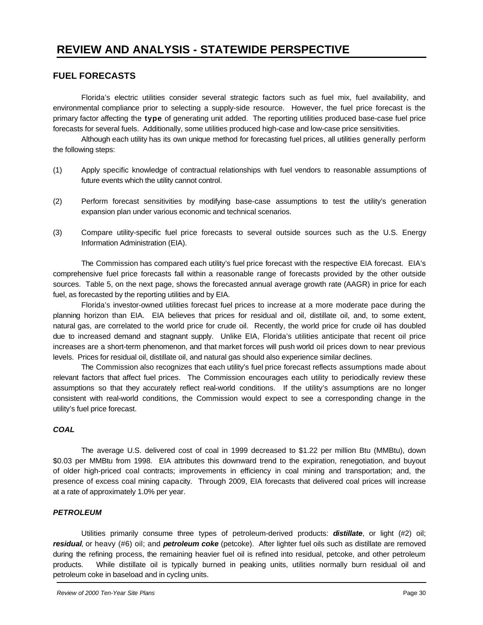#### **FUEL FORECASTS**

Florida's electric utilities consider several strategic factors such as fuel mix, fuel availability, and environmental compliance prior to selecting a supply-side resource. However, the fuel price forecast is the primary factor affecting the **type** of generating unit added. The reporting utilities produced base-case fuel price forecasts for several fuels. Additionally, some utilities produced high-case and low-case price sensitivities.

Although each utility has its own unique method for forecasting fuel prices, all utilities generally perform the following steps:

- (1) Apply specific knowledge of contractual relationships with fuel vendors to reasonable assumptions of future events which the utility cannot control.
- (2) Perform forecast sensitivities by modifying base-case assumptions to test the utility's generation expansion plan under various economic and technical scenarios.
- (3) Compare utility-specific fuel price forecasts to several outside sources such as the U.S. Energy Information Administration (EIA).

The Commission has compared each utility's fuel price forecast with the respective EIA forecast. EIA's comprehensive fuel price forecasts fall within a reasonable range of forecasts provided by the other outside sources. Table 5, on the next page, shows the forecasted annual average growth rate (AAGR) in price for each fuel, as forecasted by the reporting utilities and by EIA.

Florida's investor-owned utilities forecast fuel prices to increase at a more moderate pace during the planning horizon than EIA. EIA believes that prices for residual and oil, distillate oil, and, to some extent, natural gas, are correlated to the world price for crude oil. Recently, the world price for crude oil has doubled due to increased demand and stagnant supply. Unlike EIA, Florida's utilities anticipate that recent oil price increases are a short-term phenomenon, and that market forces will push world oil prices down to near previous levels. Prices for residual oil, distillate oil, and natural gas should also experience similar declines.

The Commission also recognizes that each utility's fuel price forecast reflects assumptions made about relevant factors that affect fuel prices. The Commission encourages each utility to periodically review these assumptions so that they accurately reflect real-world conditions. If the utility's assumptions are no longer consistent with real-world conditions, the Commission would expect to see a corresponding change in the utility's fuel price forecast.

#### *COAL*

The average U.S. delivered cost of coal in 1999 decreased to \$1.22 per million Btu (MMBtu), down \$0.03 per MMBtu from 1998. EIA attributes this downward trend to the expiration, renegotiation, and buyout of older high-priced coal contracts; improvements in efficiency in coal mining and transportation; and, the presence of excess coal mining capacity. Through 2009, EIA forecasts that delivered coal prices will increase at a rate of approximately 1.0% per year.

#### *PETROLEUM*

Utilities primarily consume three types of petroleum-derived products: *distillate*, or light (#2) oil; *residual*, or heavy (#6) oil; and *petroleum coke* (petcoke). After lighter fuel oils such as distillate are removed during the refining process, the remaining heavier fuel oil is refined into residual, petcoke, and other petroleum products. While distillate oil is typically burned in peaking units, utilities normally burn residual oil and petroleum coke in baseload and in cycling units.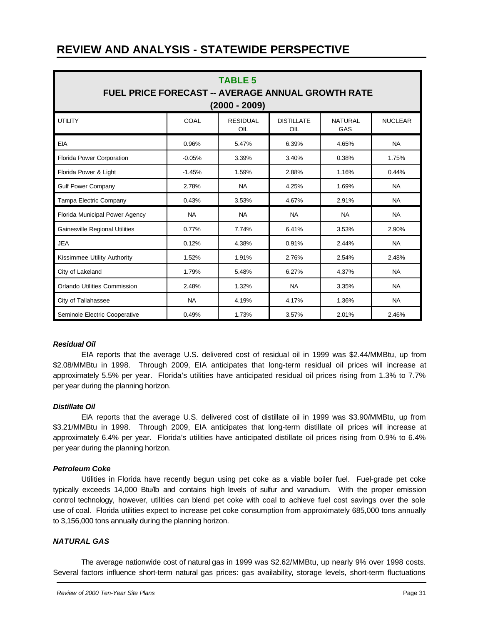| <b>TABLE 5</b><br><b>FUEL PRICE FORECAST -- AVERAGE ANNUAL GROWTH RATE</b><br>$(2000 - 2009)$ |           |                        |                          |                       |                |  |  |
|-----------------------------------------------------------------------------------------------|-----------|------------------------|--------------------------|-----------------------|----------------|--|--|
| <b>UTILITY</b>                                                                                | COAL      | <b>RESIDUAL</b><br>OIL | <b>DISTILLATE</b><br>OIL | <b>NATURAL</b><br>GAS | <b>NUCLEAR</b> |  |  |
| EIA                                                                                           | 0.96%     | 5.47%                  | 6.39%                    | 4.65%                 | <b>NA</b>      |  |  |
| Florida Power Corporation                                                                     | $-0.05%$  | 3.39%                  | 3.40%                    | 0.38%                 | 1.75%          |  |  |
| Florida Power & Light                                                                         | $-1.45%$  | 1.59%                  | 2.88%                    | 1.16%                 | 0.44%          |  |  |
| <b>Gulf Power Company</b>                                                                     | 2.78%     | <b>NA</b>              | 4.25%                    | 1.69%                 | <b>NA</b>      |  |  |
| Tampa Electric Company                                                                        | 0.43%     | 3.53%                  | 4.67%                    | 2.91%                 | <b>NA</b>      |  |  |
| Florida Municipal Power Agency                                                                | <b>NA</b> | <b>NA</b>              | <b>NA</b>                | <b>NA</b>             | <b>NA</b>      |  |  |
| <b>Gainesville Regional Utilities</b>                                                         | 0.77%     | 7.74%                  | 6.41%                    | 3.53%                 | 2.90%          |  |  |
| <b>JEA</b>                                                                                    | 0.12%     | 4.38%                  | 0.91%                    | 2.44%                 | <b>NA</b>      |  |  |
| Kissimmee Utility Authority                                                                   | 1.52%     | 1.91%                  | 2.76%                    | 2.54%                 | 2.48%          |  |  |
| City of Lakeland                                                                              | 1.79%     | 5.48%                  | 6.27%                    | 4.37%                 | <b>NA</b>      |  |  |
| Orlando Utilities Commission                                                                  | 2.48%     | 1.32%                  | <b>NA</b>                | 3.35%                 | <b>NA</b>      |  |  |
| City of Tallahassee                                                                           | <b>NA</b> | 4.19%                  | 4.17%                    | 1.36%                 | <b>NA</b>      |  |  |
| Seminole Electric Cooperative                                                                 | 0.49%     | 1.73%                  | 3.57%                    | 2.01%                 | 2.46%          |  |  |

#### *Residual Oil*

EIA reports that the average U.S. delivered cost of residual oil in 1999 was \$2.44/MMBtu, up from \$2.08/MMBtu in 1998. Through 2009, EIA anticipates that long-term residual oil prices will increase at approximately 5.5% per year. Florida's utilities have anticipated residual oil prices rising from 1.3% to 7.7% per year during the planning horizon.

#### *Distillate Oil*

EIA reports that the average U.S. delivered cost of distillate oil in 1999 was \$3.90/MMBtu, up from \$3.21/MMBtu in 1998. Through 2009, EIA anticipates that long-term distillate oil prices will increase at approximately 6.4% per year. Florida's utilities have anticipated distillate oil prices rising from 0.9% to 6.4% per year during the planning horizon.

#### *Petroleum Coke*

Utilities in Florida have recently begun using pet coke as a viable boiler fuel. Fuel-grade pet coke typically exceeds 14,000 Btu/lb and contains high levels of sulfur and vanadium. With the proper emission control technology, however, utilities can blend pet coke with coal to achieve fuel cost savings over the sole use of coal. Florida utilities expect to increase pet coke consumption from approximately 685,000 tons annually to 3,156,000 tons annually during the planning horizon.

#### *NATURAL GAS*

The average nationwide cost of natural gas in 1999 was \$2.62/MMBtu, up nearly 9% over 1998 costs. Several factors influence short-term natural gas prices: gas availability, storage levels, short-term fluctuations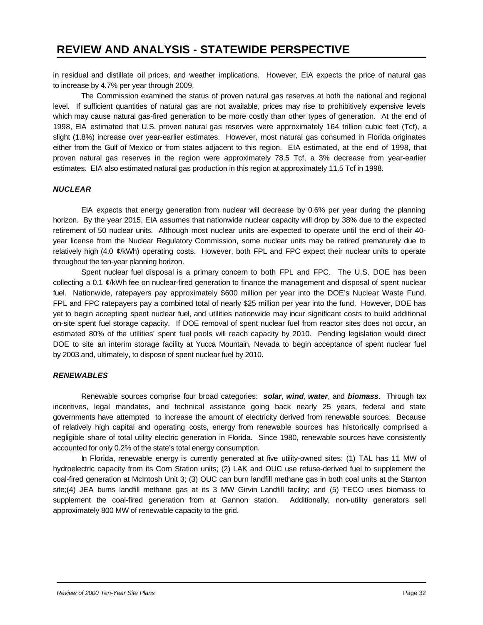in residual and distillate oil prices, and weather implications. However, EIA expects the price of natural gas to increase by 4.7% per year through 2009.

The Commission examined the status of proven natural gas reserves at both the national and regional level. If sufficient quantities of natural gas are not available, prices may rise to prohibitively expensive levels which may cause natural gas-fired generation to be more costly than other types of generation. At the end of 1998, EIA estimated that U.S. proven natural gas reserves were approximately 164 trillion cubic feet (Tcf), a slight (1.8%) increase over year-earlier estimates. However, most natural gas consumed in Florida originates either from the Gulf of Mexico or from states adjacent to this region. EIA estimated, at the end of 1998, that proven natural gas reserves in the region were approximately 78.5 Tcf, a 3% decrease from year-earlier estimates. EIA also estimated natural gas production in this region at approximately 11.5 Tcf in 1998.

#### *NUCLEAR*

EIA expects that energy generation from nuclear will decrease by 0.6% per year during the planning horizon. By the year 2015, EIA assumes that nationwide nuclear capacity will drop by 38% due to the expected retirement of 50 nuclear units. Although most nuclear units are expected to operate until the end of their 40 year license from the Nuclear Regulatory Commission, some nuclear units may be retired prematurely due to relatively high (4.0 ¢/kWh) operating costs. However, both FPL and FPC expect their nuclear units to operate throughout the ten-year planning horizon.

Spent nuclear fuel disposal is a primary concern to both FPL and FPC. The U.S. DOE has been collecting a 0.1  $\ell$ /kWh fee on nuclear-fired generation to finance the management and disposal of spent nuclear fuel. Nationwide, ratepayers pay approximately \$600 million per year into the DOE's Nuclear Waste Fund. FPL and FPC ratepayers pay a combined total of nearly \$25 million per year into the fund. However, DOE has yet to begin accepting spent nuclear fuel, and utilities nationwide may incur significant costs to build additional on-site spent fuel storage capacity. If DOE removal of spent nuclear fuel from reactor sites does not occur, an estimated 80% of the utilities' spent fuel pools will reach capacity by 2010. Pending legislation would direct DOE to site an interim storage facility at Yucca Mountain, Nevada to begin acceptance of spent nuclear fuel by 2003 and, ultimately, to dispose of spent nuclear fuel by 2010.

#### *RENEWABLES*

Renewable sources comprise four broad categories: *solar*, *wind*, *water*, and *biomass*. Through tax incentives, legal mandates, and technical assistance going back nearly 25 years, federal and state governments have attempted to increase the amount of electricity derived from renewable sources. Because of relatively high capital and operating costs, energy from renewable sources has historically comprised a negligible share of total utility electric generation in Florida. Since 1980, renewable sources have consistently accounted for only 0.2% of the state's total energy consumption.

In Florida, renewable energy is currently generated at five utility-owned sites: (1) TAL has 11 MW of hydroelectric capacity from its Corn Station units; (2) LAK and OUC use refuse-derived fuel to supplement the coal-fired generation at McIntosh Unit 3; (3) OUC can burn landfill methane gas in both coal units at the Stanton site;(4) JEA burns landfill methane gas at its 3 MW Girvin Landfill facility; and (5) TECO uses biomass to supplement the coal-fired generation from at Gannon station. Additionally, non-utility generators sell approximately 800 MW of renewable capacity to the grid.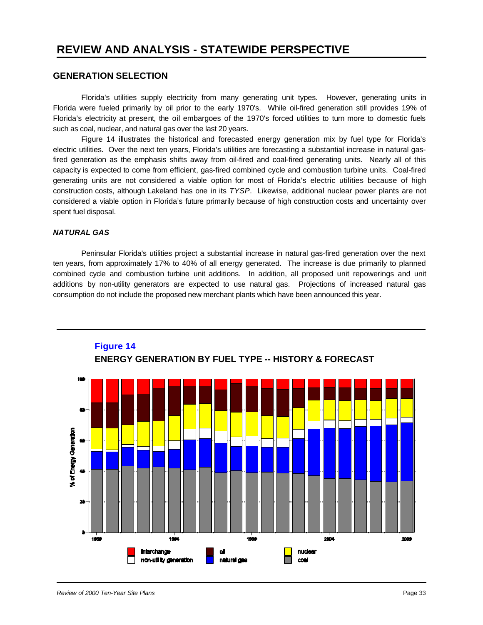#### **GENERATION SELECTION**

Florida's utilities supply electricity from many generating unit types. However, generating units in Florida were fueled primarily by oil prior to the early 1970's. While oil-fired generation still provides 19% of Florida's electricity at present, the oil embargoes of the 1970's forced utilities to turn more to domestic fuels such as coal, nuclear, and natural gas over the last 20 years.

Figure 14 illustrates the historical and forecasted energy generation mix by fuel type for Florida's electric utilities. Over the next ten years, Florida's utilities are forecasting a substantial increase in natural gasfired generation as the emphasis shifts away from oil-fired and coal-fired generating units. Nearly all of this capacity is expected to come from efficient, gas-fired combined cycle and combustion turbine units. Coal-fired generating units are not considered a viable option for most of Florida's electric utilities because of high construction costs, although Lakeland has one in its *TYSP*. Likewise, additional nuclear power plants are not considered a viable option in Florida's future primarily because of high construction costs and uncertainty over spent fuel disposal.

#### *NATURAL GAS*

Peninsular Florida's utilities project a substantial increase in natural gas-fired generation over the next ten years, from approximately 17% to 40% of all energy generated. The increase is due primarily to planned combined cycle and combustion turbine unit additions. In addition, all proposed unit repowerings and unit additions by non-utility generators are expected to use natural gas. Projections of increased natural gas consumption do not include the proposed new merchant plants which have been announced this year.



#### **Figure 14 ENERGY GENERATION BY FUEL TYPE -- HISTORY & FORECAST**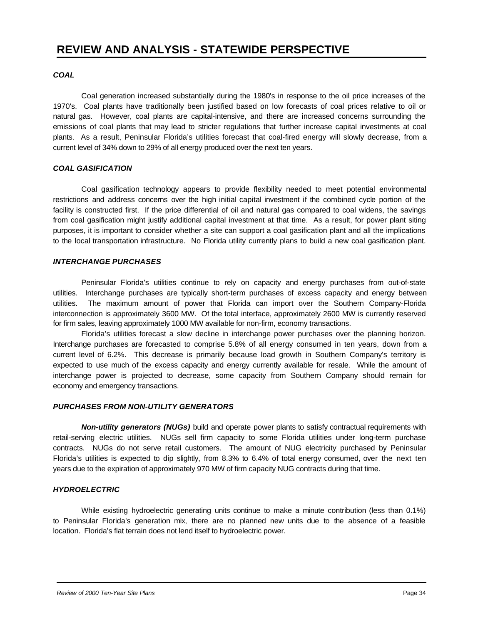#### *COAL*

Coal generation increased substantially during the 1980's in response to the oil price increases of the 1970's. Coal plants have traditionally been justified based on low forecasts of coal prices relative to oil or natural gas. However, coal plants are capital-intensive, and there are increased concerns surrounding the emissions of coal plants that may lead to stricter regulations that further increase capital investments at coal plants. As a result, Peninsular Florida's utilities forecast that coal-fired energy will slowly decrease, from a current level of 34% down to 29% of all energy produced over the next ten years.

#### *COAL GASIFICATION*

Coal gasification technology appears to provide flexibility needed to meet potential environmental restrictions and address concerns over the high initial capital investment if the combined cycle portion of the facility is constructed first. If the price differential of oil and natural gas compared to coal widens, the savings from coal gasification might justify additional capital investment at that time. As a result, for power plant siting purposes, it is important to consider whether a site can support a coal gasification plant and all the implications to the local transportation infrastructure. No Florida utility currently plans to build a new coal gasification plant.

#### *INTERCHANGE PURCHASES*

Peninsular Florida's utilities continue to rely on capacity and energy purchases from out-of-state utilities. Interchange purchases are typically short-term purchases of excess capacity and energy between utilities. The maximum amount of power that Florida can import over the Southern Company-Florida interconnection is approximately 3600 MW. Of the total interface, approximately 2600 MW is currently reserved for firm sales, leaving approximately 1000 MW available for non-firm, economy transactions.

Florida's utilities forecast a slow decline in interchange power purchases over the planning horizon. Interchange purchases are forecasted to comprise 5.8% of all energy consumed in ten years, down from a current level of 6.2%. This decrease is primarily because load growth in Southern Company's territory is expected to use much of the excess capacity and energy currently available for resale. While the amount of interchange power is projected to decrease, some capacity from Southern Company should remain for economy and emergency transactions.

#### *PURCHASES FROM NON-UTILITY GENERATORS*

*Non-utility generators (NUGs)* build and operate power plants to satisfy contractual requirements with retail-serving electric utilities. NUGs sell firm capacity to some Florida utilities under long-term purchase contracts. NUGs do not serve retail customers. The amount of NUG electricity purchased by Peninsular Florida's utilities is expected to dip slightly, from 8.3% to 6.4% of total energy consumed, over the next ten years due to the expiration of approximately 970 MW of firm capacity NUG contracts during that time.

#### *HYDROELECTRIC*

While existing hydroelectric generating units continue to make a minute contribution (less than 0.1%) to Peninsular Florida's generation mix, there are no planned new units due to the absence of a feasible location. Florida's flat terrain does not lend itself to hydroelectric power.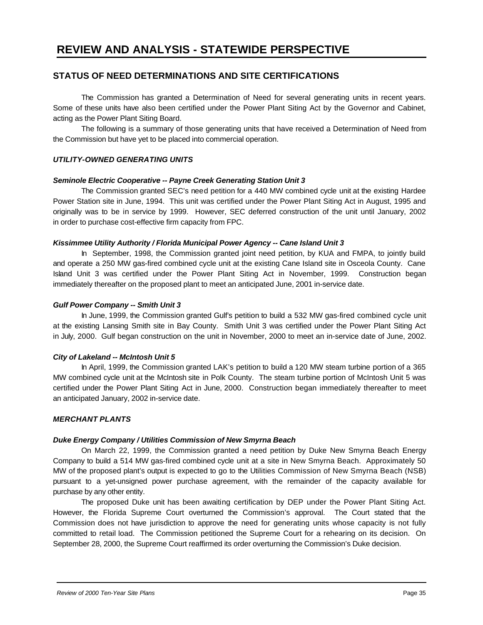#### **STATUS OF NEED DETERMINATIONS AND SITE CERTIFICATIONS**

The Commission has granted a Determination of Need for several generating units in recent years. Some of these units have also been certified under the Power Plant Siting Act by the Governor and Cabinet, acting as the Power Plant Siting Board.

The following is a summary of those generating units that have received a Determination of Need from the Commission but have yet to be placed into commercial operation.

#### *UTILITY-OWNED GENERATING UNITS*

#### *Seminole Electric Cooperative -- Payne Creek Generating Station Unit 3*

The Commission granted SEC's need petition for a 440 MW combined cycle unit at the existing Hardee Power Station site in June, 1994. This unit was certified under the Power Plant Siting Act in August, 1995 and originally was to be in service by 1999. However, SEC deferred construction of the unit until January, 2002 in order to purchase cost-effective firm capacity from FPC.

#### *Kissimmee Utility Authority / Florida Municipal Power Agency -- Cane Island Unit 3*

In September, 1998, the Commission granted joint need petition, by KUA and FMPA, to jointly build and operate a 250 MW gas-fired combined cycle unit at the existing Cane Island site in Osceola County. Cane Island Unit 3 was certified under the Power Plant Siting Act in November, 1999. Construction began immediately thereafter on the proposed plant to meet an anticipated June, 2001 in-service date.

#### *Gulf Power Company -- Smith Unit 3*

In June, 1999, the Commission granted Gulf's petition to build a 532 MW gas-fired combined cycle unit at the existing Lansing Smith site in Bay County. Smith Unit 3 was certified under the Power Plant Siting Act in July, 2000. Gulf began construction on the unit in November, 2000 to meet an in-service date of June, 2002.

#### *City of Lakeland -- McIntosh Unit 5*

In April, 1999, the Commission granted LAK's petition to build a 120 MW steam turbine portion of a 365 MW combined cycle unit at the McIntosh site in Polk County. The steam turbine portion of McIntosh Unit 5 was certified under the Power Plant Siting Act in June, 2000. Construction began immediately thereafter to meet an anticipated January, 2002 in-service date.

#### *MERCHANT PLANTS*

#### *Duke Energy Company / Utilities Commission of New Smyrna Beach*

On March 22, 1999, the Commission granted a need petition by Duke New Smyrna Beach Energy Company to build a 514 MW gas-fired combined cycle unit at a site in New Smyrna Beach. Approximately 50 MW of the proposed plant's output is expected to go to the Utilities Commission of New Smyrna Beach (NSB) pursuant to a yet-unsigned power purchase agreement, with the remainder of the capacity available for purchase by any other entity.

The proposed Duke unit has been awaiting certification by DEP under the Power Plant Siting Act. However, the Florida Supreme Court overturned the Commission's approval. The Court stated that the Commission does not have jurisdiction to approve the need for generating units whose capacity is not fully committed to retail load. The Commission petitioned the Supreme Court for a rehearing on its decision. On September 28, 2000, the Supreme Court reaffirmed its order overturning the Commission's Duke decision.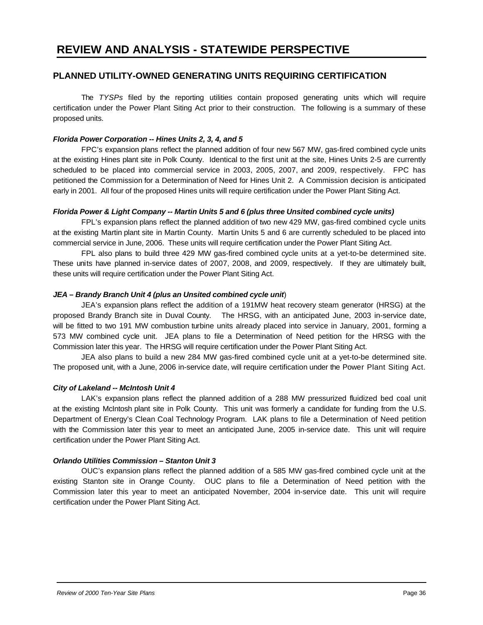#### **PLANNED UTILITY-OWNED GENERATING UNITS REQUIRING CERTIFICATION**

The *TYSPs* filed by the reporting utilities contain proposed generating units which will require certification under the Power Plant Siting Act prior to their construction. The following is a summary of these proposed units.

#### *Florida Power Corporation -- Hines Units 2, 3, 4, and 5*

FPC's expansion plans reflect the planned addition of four new 567 MW, gas-fired combined cycle units at the existing Hines plant site in Polk County. Identical to the first unit at the site, Hines Units 2-5 are currently scheduled to be placed into commercial service in 2003, 2005, 2007, and 2009, respectively. FPC has petitioned the Commission for a Determination of Need for Hines Unit 2. A Commission decision is anticipated early in 2001. All four of the proposed Hines units will require certification under the Power Plant Siting Act.

#### *Florida Power & Light Company -- Martin Units 5 and 6 (plus three Unsited combined cycle units)*

FPL's expansion plans reflect the planned addition of two new 429 MW, gas-fired combined cycle units at the existing Martin plant site in Martin County. Martin Units 5 and 6 are currently scheduled to be placed into commercial service in June, 2006. These units will require certification under the Power Plant Siting Act.

FPL also plans to build three 429 MW gas-fired combined cycle units at a yet-to-be determined site. These units have planned in-service dates of 2007, 2008, and 2009, respectively. If they are ultimately built, these units will require certification under the Power Plant Siting Act.

#### *JEA – Brandy Branch Unit 4 (plus an Unsited combined cycle unit*)

JEA's expansion plans reflect the addition of a 191MW heat recovery steam generator (HRSG) at the proposed Brandy Branch site in Duval County. The HRSG, with an anticipated June, 2003 in-service date, will be fitted to two 191 MW combustion turbine units already placed into service in January, 2001, forming a 573 MW combined cycle unit. JEA plans to file a Determination of Need petition for the HRSG with the Commission later this year. The HRSG will require certification under the Power Plant Siting Act.

JEA also plans to build a new 284 MW gas-fired combined cycle unit at a yet-to-be determined site. The proposed unit, with a June, 2006 in-service date, will require certification under the Power Plant Siting Act.

#### *City of Lakeland -- McIntosh Unit 4*

LAK's expansion plans reflect the planned addition of a 288 MW pressurized fluidized bed coal unit at the existing McIntosh plant site in Polk County. This unit was formerly a candidate for funding from the U.S. Department of Energy's Clean Coal Technology Program. LAK plans to file a Determination of Need petition with the Commission later this year to meet an anticipated June, 2005 in-service date. This unit will require certification under the Power Plant Siting Act.

#### *Orlando Utilities Commission – Stanton Unit 3*

OUC's expansion plans reflect the planned addition of a 585 MW gas-fired combined cycle unit at the existing Stanton site in Orange County. OUC plans to file a Determination of Need petition with the Commission later this year to meet an anticipated November, 2004 in-service date. This unit will require certification under the Power Plant Siting Act.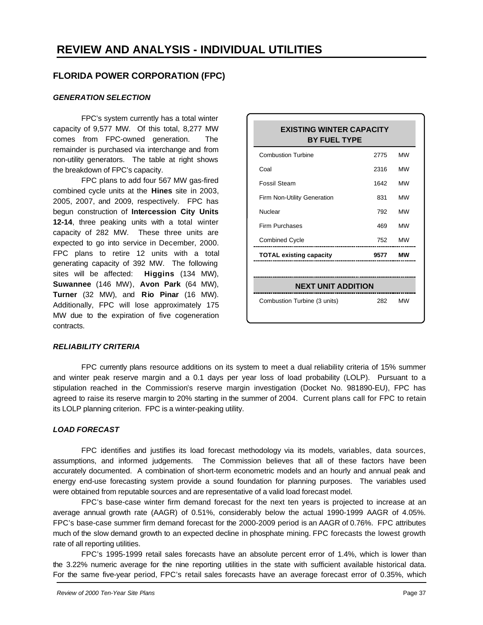#### **FLORIDA POWER CORPORATION (FPC)**

#### *GENERATION SELECTION*

FPC's system currently has a total winter capacity of 9,577 MW. Of this total, 8,277 MW comes from FPC-owned generation. The remainder is purchased via interchange and from non-utility generators. The table at right shows the breakdown of FPC's capacity.

FPC plans to add four 567 MW gas-fired combined cycle units at the **Hines** site in 2003, 2005, 2007, and 2009, respectively. FPC has begun construction of **Intercession City Units 12-14**, three peaking units with a total winter capacity of 282 MW. These three units are expected to go into service in December, 2000. FPC plans to retire 12 units with a total generating capacity of 392 MW. The following sites will be affected: **Higgins** (134 MW), **Suwannee** (146 MW), **Avon Park** (64 MW), **Turner** (32 MW), and **Rio Pinar** (16 MW). Additionally, FPC will lose approximately 175 MW due to the expiration of five cogeneration contracts.

| <b>EXISTING WINTER CAPACITY</b><br><b>BY FUEL TYPE</b> |      |           |  |  |  |
|--------------------------------------------------------|------|-----------|--|--|--|
| <b>Combustion Turbine</b>                              | 2775 | <b>MW</b> |  |  |  |
| Coal                                                   | 2316 | <b>MW</b> |  |  |  |
| <b>Fossil Steam</b>                                    | 1642 | <b>MW</b> |  |  |  |
| Firm Non-Utility Generation                            | 831  | <b>MW</b> |  |  |  |
| Nuclear                                                | 792  | <b>MW</b> |  |  |  |
| Firm Purchases                                         | 469  | <b>MW</b> |  |  |  |
| <b>Combined Cycle</b>                                  | 752  | <b>MW</b> |  |  |  |
| <b>TOTAL existing capacity</b>                         | 9577 | мw        |  |  |  |
|                                                        |      |           |  |  |  |
| <b>NEXT UNIT ADDITION</b>                              |      |           |  |  |  |
| Combustion Turbine (3 units)                           | 282  | <b>MW</b> |  |  |  |

#### *RELIABILITY CRITERIA*

FPC currently plans resource additions on its system to meet a dual reliability criteria of 15% summer and winter peak reserve margin and a 0.1 days per year loss of load probability (LOLP). Pursuant to a stipulation reached in the Commission's reserve margin investigation (Docket No. 981890-EU), FPC has agreed to raise its reserve margin to 20% starting in the summer of 2004. Current plans call for FPC to retain its LOLP planning criterion. FPC is a winter-peaking utility.

#### *LOAD FORECAST*

FPC identifies and justifies its load forecast methodology via its models, variables, data sources, assumptions, and informed judgements. The Commission believes that all of these factors have been accurately documented. A combination of short-term econometric models and an hourly and annual peak and energy end-use forecasting system provide a sound foundation for planning purposes. The variables used were obtained from reputable sources and are representative of a valid load forecast model.

FPC's base-case winter firm demand forecast for the next ten years is projected to increase at an average annual growth rate (AAGR) of 0.51%, considerably below the actual 1990-1999 AAGR of 4.05%. FPC's base-case summer firm demand forecast for the 2000-2009 period is an AAGR of 0.76%. FPC attributes much of the slow demand growth to an expected decline in phosphate mining. FPC forecasts the lowest growth rate of all reporting utilities.

FPC's 1995-1999 retail sales forecasts have an absolute percent error of 1.4%, which is lower than the 3.22% numeric average for the nine reporting utilities in the state with sufficient available historical data. For the same five-year period, FPC's retail sales forecasts have an average forecast error of 0.35%, which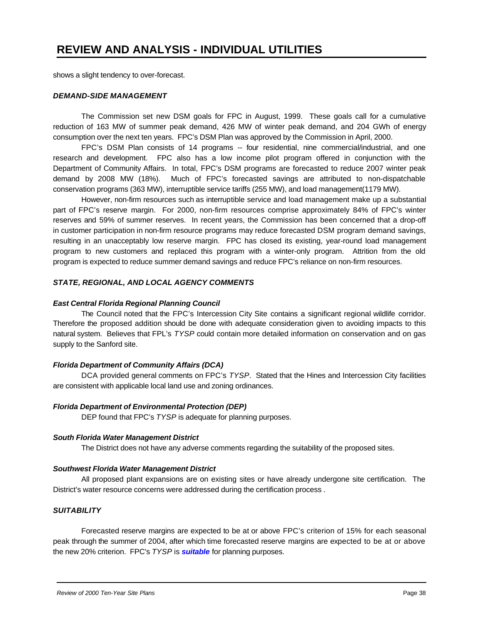shows a slight tendency to over-forecast.

#### *DEMAND-SIDE MANAGEMENT*

The Commission set new DSM goals for FPC in August, 1999. These goals call for a cumulative reduction of 163 MW of summer peak demand, 426 MW of winter peak demand, and 204 GWh of energy consumption over the next ten years. FPC's DSM Plan was approved by the Commission in April, 2000.

FPC's DSM Plan consists of 14 programs -- four residential, nine commercial/industrial, and one research and development. FPC also has a low income pilot program offered in conjunction with the Department of Community Affairs. In total, FPC's DSM programs are forecasted to reduce 2007 winter peak demand by 2008 MW (18%). Much of FPC's forecasted savings are attributed to non-dispatchable conservation programs (363 MW), interruptible service tariffs (255 MW), and load management(1179 MW).

However, non-firm resources such as interruptible service and load management make up a substantial part of FPC's reserve margin. For 2000, non-firm resources comprise approximately 84% of FPC's winter reserves and 59% of summer reserves. In recent years, the Commission has been concerned that a drop-off in customer participation in non-firm resource programs may reduce forecasted DSM program demand savings, resulting in an unacceptably low reserve margin. FPC has closed its existing, year-round load management program to new customers and replaced this program with a winter-only program. Attrition from the old program is expected to reduce summer demand savings and reduce FPC's reliance on non-firm resources.

#### *STATE, REGIONAL, AND LOCAL AGENCY COMMENTS*

#### *East Central Florida Regional Planning Council*

The Council noted that the FPC's Intercession City Site contains a significant regional wildlife corridor. Therefore the proposed addition should be done with adequate consideration given to avoiding impacts to this natural system. Believes that FPL's *TYSP* could contain more detailed information on conservation and on gas supply to the Sanford site.

#### *Florida Department of Community Affairs (DCA)*

DCA provided general comments on FPC's *TYSP*. Stated that the Hines and Intercession City facilities are consistent with applicable local land use and zoning ordinances.

#### *Florida Department of Environmental Protection (DEP)*

DEP found that FPC's *TYSP* is adequate for planning purposes.

#### *South Florida Water Management District*

The District does not have any adverse comments regarding the suitability of the proposed sites.

#### *Southwest Florida Water Management District*

All proposed plant expansions are on existing sites or have already undergone site certification. The District's water resource concerns were addressed during the certification process .

#### *SUITABILITY*

Forecasted reserve margins are expected to be at or above FPC's criterion of 15% for each seasonal peak through the summer of 2004, after which time forecasted reserve margins are expected to be at or above the new 20% criterion. FPC's *TYSP* is *suitable* for planning purposes.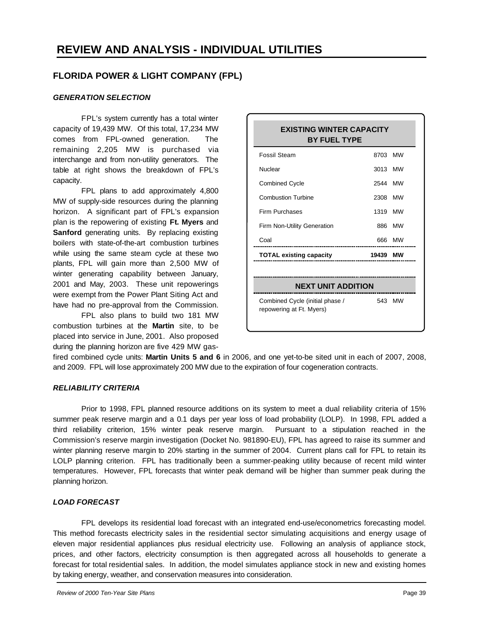#### **FLORIDA POWER & LIGHT COMPANY (FPL)**

#### *GENERATION SELECTION*

FPL's system currently has a total winter capacity of 19,439 MW. Of this total, 17,234 MW comes from FPL-owned generation. The remaining 2,205 MW is purchased via interchange and from non-utility generators. The table at right shows the breakdown of FPL's capacity.

FPL plans to add approximately 4,800 MW of supply-side resources during the planning horizon. A significant part of FPL's expansion plan is the repowering of existing **Ft. Myers** and **Sanford** generating units. By replacing existing boilers with state-of-the-art combustion turbines while using the same steam cycle at these two plants, FPL will gain more than 2,500 MW of winter generating capability between January, 2001 and May, 2003. These unit repowerings were exempt from the Power Plant Siting Act and have had no pre-approval from the Commission.

FPL also plans to build two 181 MW combustion turbines at the **Martin** site, to be placed into service in June, 2001. Also proposed during the planning horizon are five 429 MW gas-

| <b>EXISTING WINTER CAPACITY</b><br><b>BY FUEL TYPE</b>      |                           |           |  |  |  |  |
|-------------------------------------------------------------|---------------------------|-----------|--|--|--|--|
| <b>Fossil Steam</b>                                         | 8703                      | <b>MW</b> |  |  |  |  |
| Nuclear                                                     | 3013                      | <b>MW</b> |  |  |  |  |
| <b>Combined Cycle</b>                                       | 2544                      | <b>MW</b> |  |  |  |  |
| <b>Combustion Turbine</b>                                   | 2308                      | <b>MW</b> |  |  |  |  |
| Firm Purchases                                              | 1319                      | <b>MW</b> |  |  |  |  |
| Firm Non-Utility Generation                                 | 886                       | <b>MW</b> |  |  |  |  |
| Coal                                                        | 666                       | <b>MW</b> |  |  |  |  |
| <b>TOTAL existing capacity</b>                              | 19439                     | мw        |  |  |  |  |
|                                                             |                           |           |  |  |  |  |
|                                                             | <b>NEXT UNIT ADDITION</b> |           |  |  |  |  |
| Combined Cycle (initial phase /<br>repowering at Ft. Myers) | 543                       | <b>MW</b> |  |  |  |  |

fired combined cycle units: **Martin Units 5 and 6** in 2006, and one yet-to-be sited unit in each of 2007, 2008, and 2009. FPL will lose approximately 200 MW due to the expiration of four cogeneration contracts.

#### *RELIABILITY CRITERIA*

Prior to 1998, FPL planned resource additions on its system to meet a dual reliability criteria of 15% summer peak reserve margin and a 0.1 days per year loss of load probability (LOLP). In 1998, FPL added a third reliability criterion, 15% winter peak reserve margin. Pursuant to a stipulation reached in the Commission's reserve margin investigation (Docket No. 981890-EU), FPL has agreed to raise its summer and winter planning reserve margin to 20% starting in the summer of 2004. Current plans call for FPL to retain its LOLP planning criterion. FPL has traditionally been a summer-peaking utility because of recent mild winter temperatures. However, FPL forecasts that winter peak demand will be higher than summer peak during the planning horizon.

#### *LOAD FORECAST*

FPL develops its residential load forecast with an integrated end-use/econometrics forecasting model. This method forecasts electricity sales in the residential sector simulating acquisitions and energy usage of eleven major residential appliances plus residual electricity use. Following an analysis of appliance stock, prices, and other factors, electricity consumption is then aggregated across all households to generate a forecast for total residential sales. In addition, the model simulates appliance stock in new and existing homes by taking energy, weather, and conservation measures into consideration.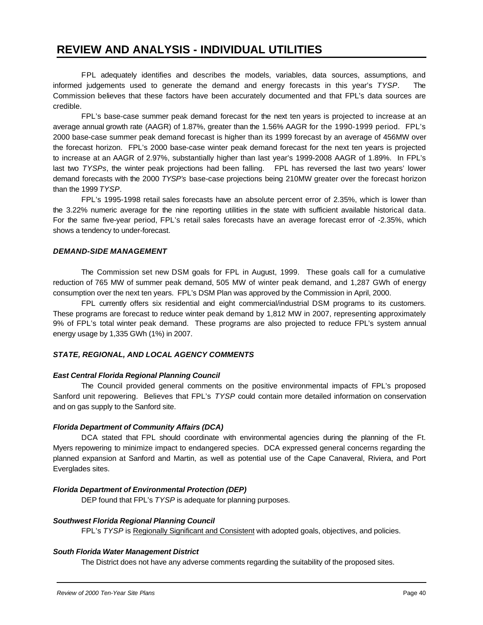FPL adequately identifies and describes the models, variables, data sources, assumptions, and informed judgements used to generate the demand and energy forecasts in this year's *TYSP*. The Commission believes that these factors have been accurately documented and that FPL's data sources are credible.

FPL's base-case summer peak demand forecast for the next ten years is projected to increase at an average annual growth rate (AAGR) of 1.87%, greater than the 1.56% AAGR for the 1990-1999 period. FPL's 2000 base-case summer peak demand forecast is higher than its 1999 forecast by an average of 456MW over the forecast horizon. FPL's 2000 base-case winter peak demand forecast for the next ten years is projected to increase at an AAGR of 2.97%, substantially higher than last year's 1999-2008 AAGR of 1.89%. In FPL's last two *TYSPs*, the winter peak projections had been falling. FPL has reversed the last two years' lower demand forecasts with the 2000 *TYSP's* base-case projections being 210MW greater over the forecast horizon than the 1999 *TYSP*.

FPL's 1995-1998 retail sales forecasts have an absolute percent error of 2.35%, which is lower than the 3.22% numeric average for the nine reporting utilities in the state with sufficient available historical data. For the same five-year period, FPL's retail sales forecasts have an average forecast error of -2.35%, which shows a tendency to under-forecast.

#### *DEMAND-SIDE MANAGEMENT*

The Commission set new DSM goals for FPL in August, 1999. These goals call for a cumulative reduction of 765 MW of summer peak demand, 505 MW of winter peak demand, and 1,287 GWh of energy consumption over the next ten years. FPL's DSM Plan was approved by the Commission in April, 2000.

FPL currently offers six residential and eight commercial/industrial DSM programs to its customers. These programs are forecast to reduce winter peak demand by 1,812 MW in 2007, representing approximately 9% of FPL's total winter peak demand. These programs are also projected to reduce FPL's system annual energy usage by 1,335 GWh (1%) in 2007.

#### *STATE, REGIONAL, AND LOCAL AGENCY COMMENTS*

#### *East Central Florida Regional Planning Council*

The Council provided general comments on the positive environmental impacts of FPL's proposed Sanford unit repowering. Believes that FPL's *TYSP* could contain more detailed information on conservation and on gas supply to the Sanford site.

#### *Florida Department of Community Affairs (DCA)*

DCA stated that FPL should coordinate with environmental agencies during the planning of the Ft. Myers repowering to minimize impact to endangered species. DCA expressed general concerns regarding the planned expansion at Sanford and Martin, as well as potential use of the Cape Canaveral, Riviera, and Port Everglades sites.

#### *Florida Department of Environmental Protection (DEP)*

DEP found that FPL's *TYSP* is adequate for planning purposes.

#### *Southwest Florida Regional Planning Council*

FPL's *TYSP* is Regionally Significant and Consistent with adopted goals, objectives, and policies.

#### *South Florida Water Management District*

The District does not have any adverse comments regarding the suitability of the proposed sites.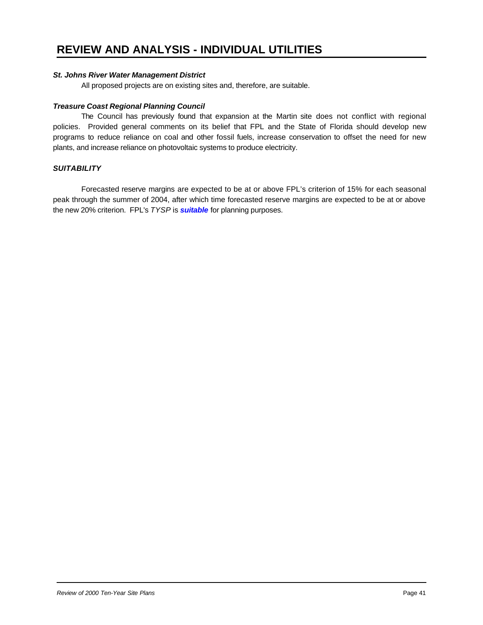#### *St. Johns River Water Management District*

All proposed projects are on existing sites and, therefore, are suitable.

#### *Treasure Coast Regional Planning Council*

The Council has previously found that expansion at the Martin site does not conflict with regional policies. Provided general comments on its belief that FPL and the State of Florida should develop new programs to reduce reliance on coal and other fossil fuels, increase conservation to offset the need for new plants, and increase reliance on photovoltaic systems to produce electricity.

#### *SUITABILITY*

Forecasted reserve margins are expected to be at or above FPL's criterion of 15% for each seasonal peak through the summer of 2004, after which time forecasted reserve margins are expected to be at or above the new 20% criterion. FPL's *TYSP* is *suitable* for planning purposes.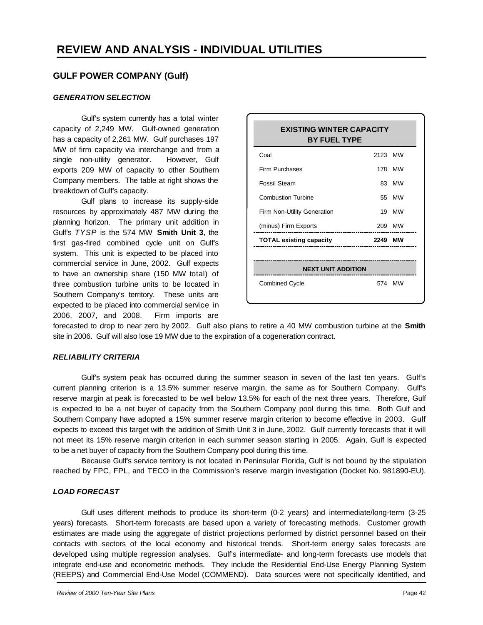#### **GULF POWER COMPANY (Gulf)**

#### *GENERATION SELECTION*

Gulf's system currently has a total winter capacity of 2,249 MW. Gulf-owned generation has a capacity of 2,261 MW. Gulf purchases 197 MW of firm capacity via interchange and from a single non-utility generator. However, Gulf exports 209 MW of capacity to other Southern Company members. The table at right shows the breakdown of Gulf's capacity.

Gulf plans to increase its supply-side resources by approximately 487 MW during the planning horizon. The primary unit addition in Gulf's *TYSP* is the 574 MW **Smith Unit 3**, the first gas-fired combined cycle unit on Gulf's system. This unit is expected to be placed into commercial service in June, 2002. Gulf expects to have an ownership share (150 MW total) of three combustion turbine units to be located in Southern Company's territory. These units are expected to be placed into commercial service in 2006, 2007, and 2008. Firm imports are

| <b>EXISTING WINTER CAPACITY</b><br><b>BY FUEL TYPE</b> |         |           |  |  |  |
|--------------------------------------------------------|---------|-----------|--|--|--|
| Coal                                                   | 2123 MW |           |  |  |  |
| Firm Purchases                                         |         | 178 MW    |  |  |  |
| <b>Fossil Steam</b>                                    |         | 83 MW     |  |  |  |
| <b>Combustion Turbine</b>                              | 55      | MW        |  |  |  |
| Firm Non-Utility Generation                            | 19      | <b>MW</b> |  |  |  |
| (minus) Firm Exports                                   |         | 209 MW    |  |  |  |
| <b>TOTAL existing capacity</b>                         | 2249    | мw        |  |  |  |
|                                                        |         |           |  |  |  |
| <b>NEXT UNIT ADDITION</b>                              |         |           |  |  |  |
| <b>Combined Cycle</b>                                  |         | 574 MW    |  |  |  |

forecasted to drop to near zero by 2002. Gulf also plans to retire a 40 MW combustion turbine at the **Smith** site in 2006. Gulf will also lose 19 MW due to the expiration of a cogeneration contract.

#### *RELIABILITY CRITERIA*

Gulf's system peak has occurred during the summer season in seven of the last ten years. Gulf's current planning criterion is a 13.5% summer reserve margin, the same as for Southern Company. Gulf's reserve margin at peak is forecasted to be well below 13.5% for each of the next three years. Therefore, Gulf is expected to be a net buyer of capacity from the Southern Company pool during this time. Both Gulf and Southern Company have adopted a 15% summer reserve margin criterion to become effective in 2003. Gulf expects to exceed this target with the addition of Smith Unit 3 in June, 2002. Gulf currently forecasts that it will not meet its 15% reserve margin criterion in each summer season starting in 2005. Again, Gulf is expected to be a net buyer of capacity from the Southern Company pool during this time.

Because Gulf's service territory is not located in Peninsular Florida, Gulf is not bound by the stipulation reached by FPC, FPL, and TECO in the Commission's reserve margin investigation (Docket No. 981890-EU).

#### *LOAD FORECAST*

Gulf uses different methods to produce its short-term (0-2 years) and intermediate/long-term (3-25 years) forecasts. Short-term forecasts are based upon a variety of forecasting methods. Customer growth estimates are made using the aggregate of district projections performed by district personnel based on their contacts with sectors of the local economy and historical trends. Short-term energy sales forecasts are developed using multiple regression analyses. Gulf's intermediate- and long-term forecasts use models that integrate end-use and econometric methods. They include the Residential End-Use Energy Planning System (REEPS) and Commercial End-Use Model (COMMEND). Data sources were not specifically identified, and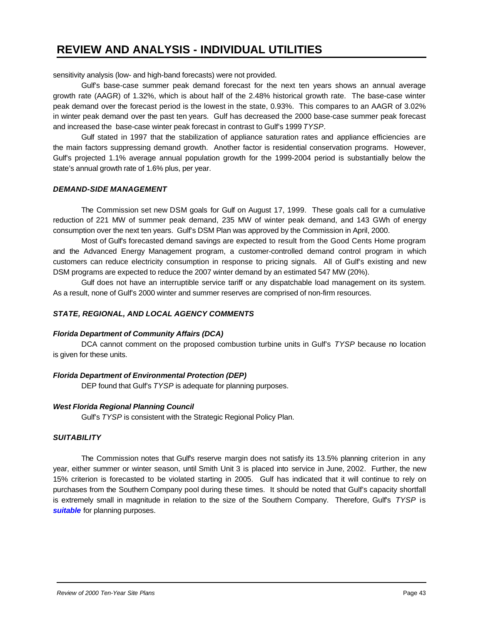sensitivity analysis (low- and high-band forecasts) were not provided.

Gulf's base-case summer peak demand forecast for the next ten years shows an annual average growth rate (AAGR) of 1.32%, which is about half of the 2.48% historical growth rate. The base-case winter peak demand over the forecast period is the lowest in the state, 0.93%. This compares to an AAGR of 3.02% in winter peak demand over the past ten years. Gulf has decreased the 2000 base-case summer peak forecast and increased the base-case winter peak forecast in contrast to Gulf's 1999 *TYSP*.

Gulf stated in 1997 that the stabilization of appliance saturation rates and appliance efficiencies are the main factors suppressing demand growth. Another factor is residential conservation programs. However, Gulf's projected 1.1% average annual population growth for the 1999-2004 period is substantially below the state's annual growth rate of 1.6% plus, per year.

#### *DEMAND-SIDE MANAGEMENT*

The Commission set new DSM goals for Gulf on August 17, 1999. These goals call for a cumulative reduction of 221 MW of summer peak demand, 235 MW of winter peak demand, and 143 GWh of energy consumption over the next ten years. Gulf's DSM Plan was approved by the Commission in April, 2000.

Most of Gulf's forecasted demand savings are expected to result from the Good Cents Home program and the Advanced Energy Management program, a customer-controlled demand control program in which customers can reduce electricity consumption in response to pricing signals. All of Gulf's existing and new DSM programs are expected to reduce the 2007 winter demand by an estimated 547 MW (20%).

Gulf does not have an interruptible service tariff or any dispatchable load management on its system. As a result, none of Gulf's 2000 winter and summer reserves are comprised of non-firm resources.

#### *STATE, REGIONAL, AND LOCAL AGENCY COMMENTS*

#### *Florida Department of Community Affairs (DCA)*

DCA cannot comment on the proposed combustion turbine units in Gulf's *TYSP* because no location is given for these units.

#### *Florida Department of Environmental Protection (DEP)*

DEP found that Gulf's *TYSP* is adequate for planning purposes.

#### *West Florida Regional Planning Council*

Gulf's *TYSP* is consistent with the Strategic Regional Policy Plan.

#### *SUITABILITY*

The Commission notes that Gulf's reserve margin does not satisfy its 13.5% planning criterion in any year, either summer or winter season, until Smith Unit 3 is placed into service in June, 2002. Further, the new 15% criterion is forecasted to be violated starting in 2005. Gulf has indicated that it will continue to rely on purchases from the Southern Company pool during these times. It should be noted that Gulf's capacity shortfall is extremely small in magnitude in relation to the size of the Southern Company. Therefore, Gulf's *TYSP* is *suitable* for planning purposes.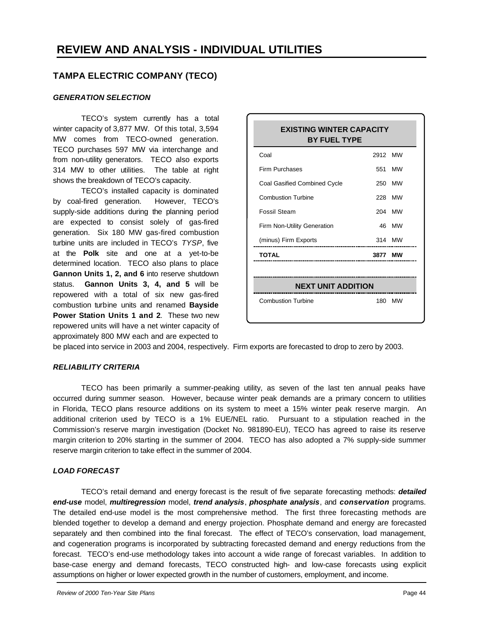#### **TAMPA ELECTRIC COMPANY (TECO)**

#### *GENERATION SELECTION*

TECO's system currently has a total winter capacity of 3,877 MW. Of this total, 3,594 MW comes from TECO-owned generation. TECO purchases 597 MW via interchange and from non-utility generators. TECO also exports 314 MW to other utilities. The table at right shows the breakdown of TECO's capacity.

TECO's installed capacity is dominated by coal-fired generation. However, TECO's supply-side additions during the planning period are expected to consist solely of gas-fired generation. Six 180 MW gas-fired combustion turbine units are included in TECO's *TYSP*, five at the **Polk** site and one at a yet-to-be determined location. TECO also plans to place **Gannon Units 1, 2, and 6** into reserve shutdown status. **Gannon Units 3, 4, and 5** will be repowered with a total of six new gas-fired combustion turbine units and renamed **Bayside Power Station Units 1 and 2**. These two new repowered units will have a net winter capacity of approximately 800 MW each and are expected to

| 2912 MW<br>250<br>228     | 551 MW<br>MW<br>MW<br>204 MW |
|---------------------------|------------------------------|
|                           |                              |
|                           |                              |
|                           |                              |
|                           |                              |
|                           |                              |
| 46                        | MW                           |
|                           | 314 MW                       |
|                           | мw                           |
| <b>NEXT UNIT ADDITION</b> |                              |
|                           | 3877                         |

be placed into service in 2003 and 2004, respectively. Firm exports are forecasted to drop to zero by 2003.

#### *RELIABILITY CRITERIA*

TECO has been primarily a summer-peaking utility, as seven of the last ten annual peaks have occurred during summer season. However, because winter peak demands are a primary concern to utilities in Florida, TECO plans resource additions on its system to meet a 15% winter peak reserve margin. An additional criterion used by TECO is a 1% EUE/NEL ratio. Pursuant to a stipulation reached in the Commission's reserve margin investigation (Docket No. 981890-EU), TECO has agreed to raise its reserve margin criterion to 20% starting in the summer of 2004. TECO has also adopted a 7% supply-side summer reserve margin criterion to take effect in the summer of 2004.

#### *LOAD FORECAST*

TECO's retail demand and energy forecast is the result of five separate forecasting methods: *detailed end-use* model, *multiregression* model, *trend analysis*, *phosphate analysis*, and *conservation* programs. The detailed end-use model is the most comprehensive method. The first three forecasting methods are blended together to develop a demand and energy projection. Phosphate demand and energy are forecasted separately and then combined into the final forecast. The effect of TECO's conservation, load management, and cogeneration programs is incorporated by subtracting forecasted demand and energy reductions from the forecast. TECO's end-use methodology takes into account a wide range of forecast variables. In addition to base-case energy and demand forecasts, TECO constructed high- and low-case forecasts using explicit assumptions on higher or lower expected growth in the number of customers, employment, and income.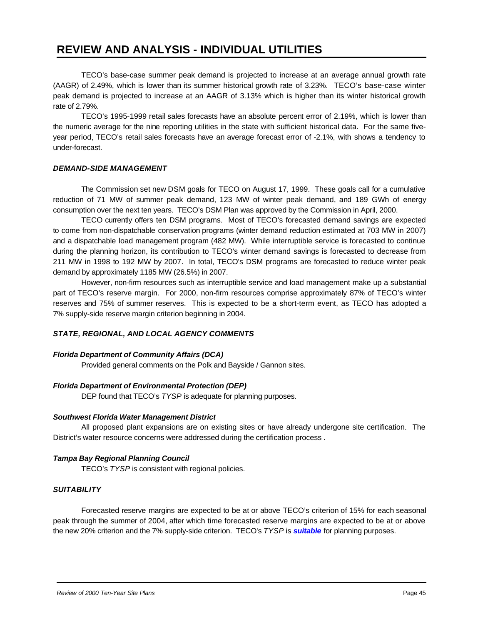TECO's base-case summer peak demand is projected to increase at an average annual growth rate (AAGR) of 2.49%, which is lower than its summer historical growth rate of 3.23%. TECO's base-case winter peak demand is projected to increase at an AAGR of 3.13% which is higher than its winter historical growth rate of 2.79%.

TECO's 1995-1999 retail sales forecasts have an absolute percent error of 2.19%, which is lower than the numeric average for the nine reporting utilities in the state with sufficient historical data. For the same fiveyear period, TECO's retail sales forecasts have an average forecast error of -2.1%, with shows a tendency to under-forecast.

#### *DEMAND-SIDE MANAGEMENT*

The Commission set new DSM goals for TECO on August 17, 1999. These goals call for a cumulative reduction of 71 MW of summer peak demand, 123 MW of winter peak demand, and 189 GWh of energy consumption over the next ten years. TECO's DSM Plan was approved by the Commission in April, 2000.

TECO currently offers ten DSM programs. Most of TECO's forecasted demand savings are expected to come from non-dispatchable conservation programs (winter demand reduction estimated at 703 MW in 2007) and a dispatchable load management program (482 MW). While interruptible service is forecasted to continue during the planning horizon, its contribution to TECO's winter demand savings is forecasted to decrease from 211 MW in 1998 to 192 MW by 2007. In total, TECO's DSM programs are forecasted to reduce winter peak demand by approximately 1185 MW (26.5%) in 2007.

However, non-firm resources such as interruptible service and load management make up a substantial part of TECO's reserve margin. For 2000, non-firm resources comprise approximately 87% of TECO's winter reserves and 75% of summer reserves. This is expected to be a short-term event, as TECO has adopted a 7% supply-side reserve margin criterion beginning in 2004.

#### *STATE, REGIONAL, AND LOCAL AGENCY COMMENTS*

#### *Florida Department of Community Affairs (DCA)*

Provided general comments on the Polk and Bayside / Gannon sites.

#### *Florida Department of Environmental Protection (DEP)*

DEP found that TECO's *TYSP* is adequate for planning purposes.

#### *Southwest Florida Water Management District*

All proposed plant expansions are on existing sites or have already undergone site certification. The District's water resource concerns were addressed during the certification process .

#### *Tampa Bay Regional Planning Council*

TECO's *TYSP* is consistent with regional policies.

#### *SUITABILITY*

Forecasted reserve margins are expected to be at or above TECO's criterion of 15% for each seasonal peak through the summer of 2004, after which time forecasted reserve margins are expected to be at or above the new 20% criterion and the 7% supply-side criterion. TECO's *TYSP* is *suitable* for planning purposes.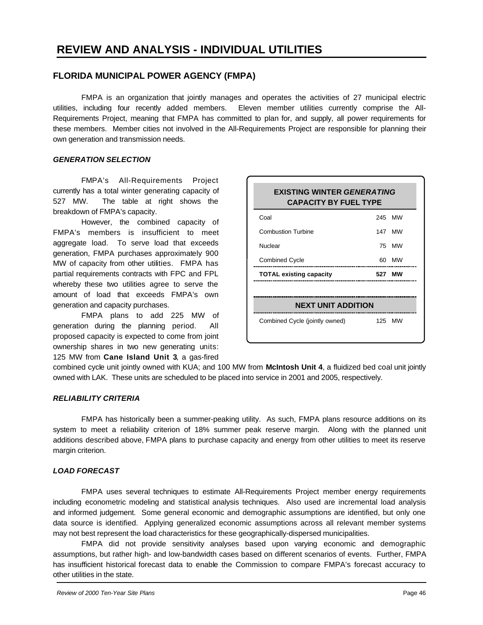#### **FLORIDA MUNICIPAL POWER AGENCY (FMPA)**

FMPA is an organization that jointly manages and operates the activities of 27 municipal electric utilities, including four recently added members. Eleven member utilities currently comprise the All-Requirements Project, meaning that FMPA has committed to plan for, and supply, all power requirements for these members. Member cities not involved in the All-Requirements Project are responsible for planning their own generation and transmission needs.

#### *GENERATION SELECTION*

FMPA's All-Requirements Project currently has a total winter generating capacity of 527 MW. The table at right shows the breakdown of FMPA's capacity.

However, the combined capacity of FMPA's members is insufficient to meet aggregate load. To serve load that exceeds generation, FMPA purchases approximately 900 MW of capacity from other utilities. FMPA has partial requirements contracts with FPC and FPL whereby these two utilities agree to serve the amount of load that exceeds FMPA's own generation and capacity purchases.

FMPA plans to add 225 MW of generation during the planning period. All proposed capacity is expected to come from joint ownership shares in two new generating units: 125 MW from **Cane Island Unit 3**, a gas-fired

| <b>EXISTING WINTER GENERATING</b><br><b>CAPACITY BY FUEL TYPE</b> |     |        |  |  |  |
|-------------------------------------------------------------------|-----|--------|--|--|--|
| Coal                                                              |     | 245 MW |  |  |  |
| <b>Combustion Turbine</b>                                         |     | 147 MW |  |  |  |
| Nuclear                                                           |     | 75 MW  |  |  |  |
| <b>Combined Cycle</b>                                             | 60. | МW     |  |  |  |
| <b>TOTAL existing capacity</b>                                    |     | 527 MW |  |  |  |
|                                                                   |     |        |  |  |  |
| <b>NEXT UNIT ADDITION</b>                                         |     |        |  |  |  |
| Combined Cycle (jointly owned)                                    |     | 125 MW |  |  |  |

combined cycle unit jointly owned with KUA; and 100 MW from **McIntosh Unit 4**, a fluidized bed coal unit jointly owned with LAK. These units are scheduled to be placed into service in 2001 and 2005, respectively.

#### *RELIABILITY CRITERIA*

FMPA has historically been a summer-peaking utility. As such, FMPA plans resource additions on its system to meet a reliability criterion of 18% summer peak reserve margin. Along with the planned unit additions described above, FMPA plans to purchase capacity and energy from other utilities to meet its reserve margin criterion.

#### *LOAD FORECAST*

FMPA uses several techniques to estimate All-Requirements Project member energy requirements including econometric modeling and statistical analysis techniques. Also used are incremental load analysis and informed judgement. Some general economic and demographic assumptions are identified, but only one data source is identified. Applying generalized economic assumptions across all relevant member systems may not best represent the load characteristics for these geographically-dispersed municipalities.

FMPA did not provide sensitivity analyses based upon varying economic and demographic assumptions, but rather high- and low-bandwidth cases based on different scenarios of events. Further, FMPA has insufficient historical forecast data to enable the Commission to compare FMPA's forecast accuracy to other utilities in the state.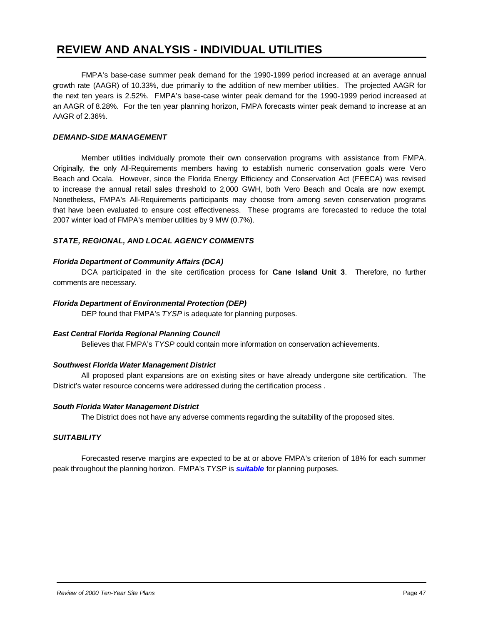FMPA's base-case summer peak demand for the 1990-1999 period increased at an average annual growth rate (AAGR) of 10.33%, due primarily to the addition of new member utilities. The projected AAGR for the next ten years is 2.52%. FMPA's base-case winter peak demand for the 1990-1999 period increased at an AAGR of 8.28%. For the ten year planning horizon, FMPA forecasts winter peak demand to increase at an AAGR of 2.36%.

#### *DEMAND-SIDE MANAGEMENT*

Member utilities individually promote their own conservation programs with assistance from FMPA. Originally, the only All-Requirements members having to establish numeric conservation goals were Vero Beach and Ocala. However, since the Florida Energy Efficiency and Conservation Act (FEECA) was revised to increase the annual retail sales threshold to 2,000 GWH, both Vero Beach and Ocala are now exempt. Nonetheless, FMPA's All-Requirements participants may choose from among seven conservation programs that have been evaluated to ensure cost effectiveness. These programs are forecasted to reduce the total 2007 winter load of FMPA's member utilities by 9 MW (0.7%).

#### *STATE, REGIONAL, AND LOCAL AGENCY COMMENTS*

#### *Florida Department of Community Affairs (DCA)*

DCA participated in the site certification process for **Cane Island Unit 3**. Therefore, no further comments are necessary.

#### *Florida Department of Environmental Protection (DEP)*

DEP found that FMPA's *TYSP* is adequate for planning purposes.

#### *East Central Florida Regional Planning Council*

Believes that FMPA's *TYSP* could contain more information on conservation achievements.

#### *Southwest Florida Water Management District*

All proposed plant expansions are on existing sites or have already undergone site certification. The District's water resource concerns were addressed during the certification process .

#### *South Florida Water Management District*

The District does not have any adverse comments regarding the suitability of the proposed sites.

#### *SUITABILITY*

Forecasted reserve margins are expected to be at or above FMPA's criterion of 18% for each summer peak throughout the planning horizon. FMPA's *TYSP* is *suitable* for planning purposes.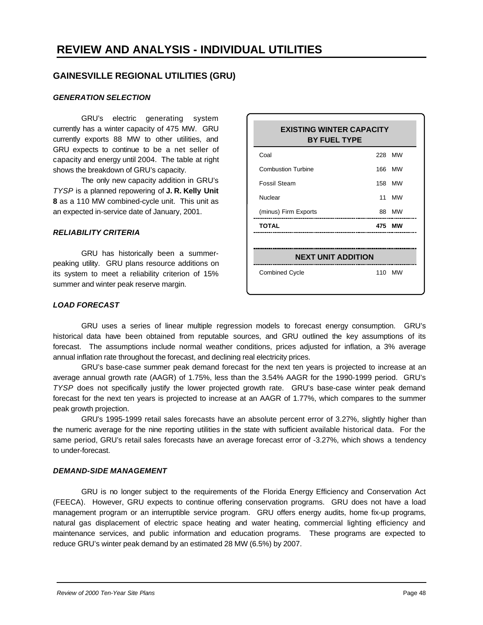#### **GAINESVILLE REGIONAL UTILITIES (GRU)**

#### *GENERATION SELECTION*

GRU's electric generating system currently has a winter capacity of 475 MW. GRU currently exports 88 MW to other utilities, and GRU expects to continue to be a net seller of capacity and energy until 2004. The table at right shows the breakdown of GRU's capacity.

The only new capacity addition in GRU's *TYSP* is a planned repowering of **J. R. Kelly Unit 8** as a 110 MW combined-cycle unit. This unit as an expected in-service date of January, 2001.

#### *RELIABILITY CRITERIA*

GRU has historically been a summerpeaking utility. GRU plans resource additions on its system to meet a reliability criterion of 15% summer and winter peak reserve margin.

# **EXISTING WINTER CAPACITY BY FUEL TYPE** Coal 228 MW Combustion Turbine 166 MW Fossil Steam 158 MW Nuclear 11 MW (minus) Firm Exports 88 MW **TOTAL 475 MW NEXT UNIT ADDITION** Combined Cycle 110 MW

#### *LOAD FORECAST*

GRU uses a series of linear multiple regression models to forecast energy consumption. GRU's historical data have been obtained from reputable sources, and GRU outlined the key assumptions of its forecast. The assumptions include normal weather conditions, prices adjusted for inflation, a 3% average annual inflation rate throughout the forecast, and declining real electricity prices.

GRU's base-case summer peak demand forecast for the next ten years is projected to increase at an average annual growth rate (AAGR) of 1.75%, less than the 3.54% AAGR for the 1990-1999 period. GRU's *TYSP* does not specifically justify the lower projected growth rate. GRU's base-case winter peak demand forecast for the next ten years is projected to increase at an AAGR of 1.77%, which compares to the summer peak growth projection.

GRU's 1995-1999 retail sales forecasts have an absolute percent error of 3.27%, slightly higher than the numeric average for the nine reporting utilities in the state with sufficient available historical data. For the same period, GRU's retail sales forecasts have an average forecast error of -3.27%, which shows a tendency to under-forecast.

#### *DEMAND-SIDE MANAGEMENT*

GRU is no longer subject to the requirements of the Florida Energy Efficiency and Conservation Act (FEECA). However, GRU expects to continue offering conservation programs. GRU does not have a load management program or an interruptible service program. GRU offers energy audits, home fix-up programs, natural gas displacement of electric space heating and water heating, commercial lighting efficiency and maintenance services, and public information and education programs. These programs are expected to reduce GRU's winter peak demand by an estimated 28 MW (6.5%) by 2007.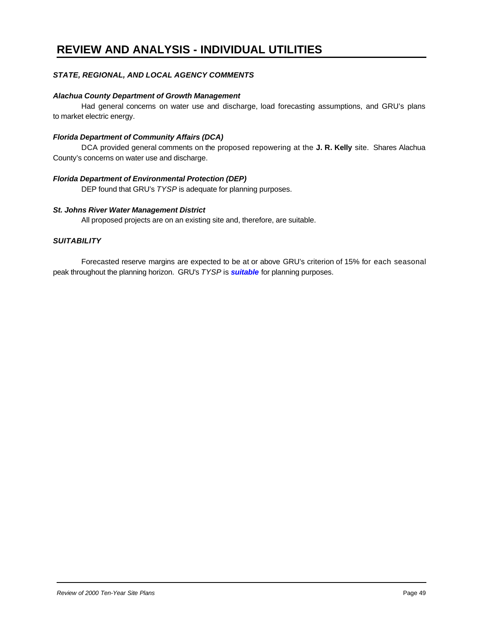#### *STATE, REGIONAL, AND LOCAL AGENCY COMMENTS*

#### *Alachua County Department of Growth Management*

Had general concerns on water use and discharge, load forecasting assumptions, and GRU's plans to market electric energy.

#### *Florida Department of Community Affairs (DCA)*

DCA provided general comments on the proposed repowering at the **J. R. Kelly** site. Shares Alachua County's concerns on water use and discharge.

#### *Florida Department of Environmental Protection (DEP)*

DEP found that GRU's *TYSP* is adequate for planning purposes.

#### *St. Johns River Water Management District*

All proposed projects are on an existing site and, therefore, are suitable.

#### *SUITABILITY*

Forecasted reserve margins are expected to be at or above GRU's criterion of 15% for each seasonal peak throughout the planning horizon. GRU's *TYSP* is *suitable* for planning purposes.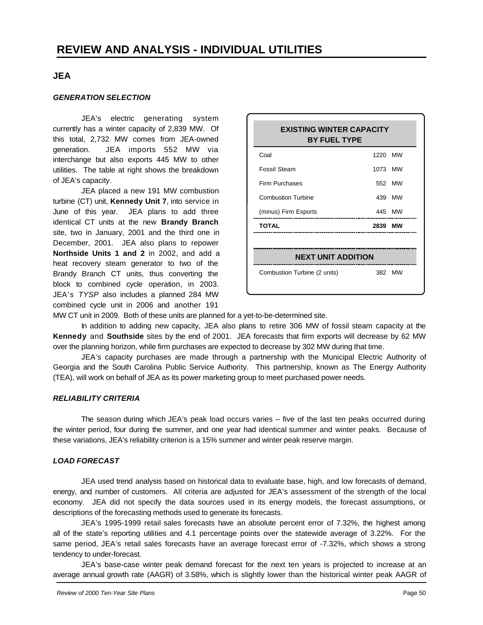#### **JEA**

#### *GENERATION SELECTION*

JEA's electric generating system currently has a winter capacity of 2,839 MW. Of this total, 2,732 MW comes from JEA-owned generation. JEA imports 552 MW via interchange but also exports 445 MW to other utilities. The table at right shows the breakdown of JEA's capacity.

JEA placed a new 191 MW combustion turbine (CT) unit, **Kennedy Unit 7**, into service in June of this year. JEA plans to add three identical CT units at the new **Brandy Branch** site, two in January, 2001 and the third one in December, 2001. JEA also plans to repower **Northside Units 1 and 2** in 2002, and add a heat recovery steam generator to two of the Brandy Branch CT units, thus converting the block to combined cycle operation, in 2003. JEA's *TYSP* also includes a planned 284 MW combined cycle unit in 2006 and another 191

| <b>EXISTING WINTER CAPACITY</b><br><b>BY FUEL TYPE</b> |         |        |  |  |  |
|--------------------------------------------------------|---------|--------|--|--|--|
| Coal                                                   | 1220 MW |        |  |  |  |
| <b>Fossil Steam</b>                                    | 1073 MW |        |  |  |  |
| Firm Purchases                                         |         | 552 MW |  |  |  |
| Combustion Turbine                                     |         | 439 MW |  |  |  |
| (minus) Firm Exports                                   |         | 445 MW |  |  |  |
| <b>TOTAL</b>                                           | 2839    | MW     |  |  |  |
|                                                        |         |        |  |  |  |
| <b>NEXT UNIT ADDITION</b>                              |         |        |  |  |  |
| Combustion Turbine (2 units)                           |         | 382 MW |  |  |  |

MW CT unit in 2009. Both of these units are planned for a yet-to-be-determined site.

In addition to adding new capacity, JEA also plans to retire 306 MW of fossil steam capacity at the **Kennedy** and **Southside** sites by the end of 2001. JEA forecasts that firm exports will decrease by 62 MW over the planning horizon, while firm purchases are expected to decrease by 302 MW during that time.

JEA's capacity purchases are made through a partnership with the Municipal Electric Authority of Georgia and the South Carolina Public Service Authority. This partnership, known as The Energy Authority (TEA), will work on behalf of JEA as its power marketing group to meet purchased power needs.

#### *RELIABILITY CRITERIA*

The season during which JEA's peak load occurs varies – five of the last ten peaks occurred during the winter period, four during the summer, and one year had identical summer and winter peaks. Because of these variations, JEA's reliability criterion is a 15% summer and winter peak reserve margin.

#### *LOAD FORECAST*

JEA used trend analysis based on historical data to evaluate base, high, and low forecasts of demand, energy, and number of customers. All criteria are adjusted for JEA's assessment of the strength of the local economy. JEA did not specify the data sources used in its energy models, the forecast assumptions, or descriptions of the forecasting methods used to generate its forecasts.

JEA's 1995-1999 retail sales forecasts have an absolute percent error of 7.32%, the highest among all of the state's reporting utilities and 4.1 percentage points over the statewide average of 3.22%. For the same period, JEA's retail sales forecasts have an average forecast error of -7.32%, which shows a strong tendency to under-forecast.

JEA's base-case winter peak demand forecast for the next ten years is projected to increase at an average annual growth rate (AAGR) of 3.58%, which is slightly lower than the historical winter peak AAGR of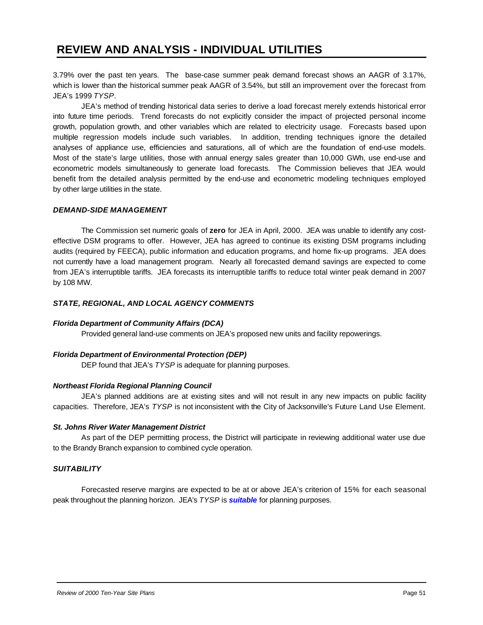3.79% over the past ten years. The base-case summer peak demand forecast shows an AAGR of 3.17%, which is lower than the historical summer peak AAGR of 3.54%, but still an improvement over the forecast from JEA's 1999 *TYSP*.

JEA's method of trending historical data series to derive a load forecast merely extends historical error into future time periods. Trend forecasts do not explicitly consider the impact of projected personal income growth, population growth, and other variables which are related to electricity usage. Forecasts based upon multiple regression models include such variables. In addition, trending techniques ignore the detailed analyses of appliance use, efficiencies and saturations, all of which are the foundation of end-use models. Most of the state's large utilities, those with annual energy sales greater than 10,000 GWh, use end-use and econometric models simultaneously to generate load forecasts. The Commission believes that JEA would benefit from the detailed analysis permitted by the end-use and econometric modeling techniques employed by other large utilities in the state.

#### *DEMAND-SIDE MANAGEMENT*

The Commission set numeric goals of **zero** for JEA in April, 2000. JEA was unable to identify any costeffective DSM programs to offer. However, JEA has agreed to continue its existing DSM programs including audits (required by FEECA), public information and education programs, and home fix-up programs. JEA does not currently have a load management program. Nearly all forecasted demand savings are expected to come from JEA's interruptible tariffs. JEA forecasts its interruptible tariffs to reduce total winter peak demand in 2007 by 108 MW.

#### *STATE, REGIONAL, AND LOCAL AGENCY COMMENTS*

#### *Florida Department of Community Affairs (DCA)*

Provided general land-use comments on JEA's proposed new units and facility repowerings.

#### *Florida Department of Environmental Protection (DEP)*

DEP found that JEA's *TYSP* is adequate for planning purposes.

#### *Northeast Florida Regional Planning Council*

JEA's planned additions are at existing sites and will not result in any new impacts on public facility capacities. Therefore, JEA's *TYSP* is not inconsistent with the City of Jacksonville's Future Land Use Element.

#### *St. Johns River Water Management District*

As part of the DEP permitting process, the District will participate in reviewing additional water use due to the Brandy Branch expansion to combined cycle operation.

#### *SUITABILITY*

Forecasted reserve margins are expected to be at or above JEA's criterion of 15% for each seasonal peak throughout the planning horizon. JEA's *TYSP* is *suitable* for planning purposes.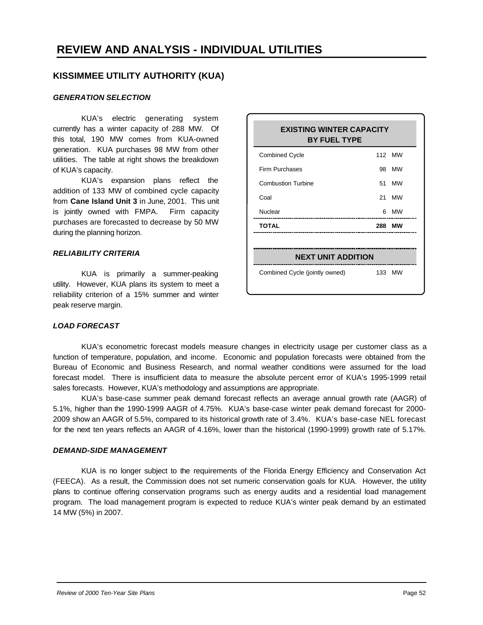#### **KISSIMMEE UTILITY AUTHORITY (KUA)**

#### *GENERATION SELECTION*

KUA's electric generating system currently has a winter capacity of 288 MW. Of this total, 190 MW comes from KUA-owned generation. KUA purchases 98 MW from other utilities. The table at right shows the breakdown of KUA's capacity.

KUA's expansion plans reflect the addition of 133 MW of combined cycle capacity from **Cane Island Unit 3** in June, 2001. This unit is jointly owned with FMPA. Firm capacity purchases are forecasted to decrease by 50 MW during the planning horizon.

#### *RELIABILITY CRITERIA*

KUA is primarily a summer-peaking utility. However, KUA plans its system to meet a reliability criterion of a 15% summer and winter peak reserve margin.

| <b>EXISTING WINTER CAPACITY</b><br><b>BY FUEL TYPE</b> |      |           |  |  |  |
|--------------------------------------------------------|------|-----------|--|--|--|
| <b>Combined Cycle</b>                                  |      | 112 MW    |  |  |  |
| Firm Purchases                                         | 98   | MW        |  |  |  |
| <b>Combustion Turbine</b>                              | 51   | <b>MW</b> |  |  |  |
| Coal                                                   | 21   | <b>MW</b> |  |  |  |
| Nuclear                                                | 6    | <b>MW</b> |  |  |  |
| TOTAL                                                  | 288  | мw        |  |  |  |
|                                                        |      |           |  |  |  |
| <b>NEXT UNIT ADDITION</b>                              |      |           |  |  |  |
| Combined Cycle (jointly owned)                         | 133. | МW        |  |  |  |

#### *LOAD FORECAST*

KUA's econometric forecast models measure changes in electricity usage per customer class as a function of temperature, population, and income. Economic and population forecasts were obtained from the Bureau of Economic and Business Research, and normal weather conditions were assumed for the load forecast model. There is insufficient data to measure the absolute percent error of KUA's 1995-1999 retail sales forecasts. However, KUA's methodology and assumptions are appropriate.

KUA's base-case summer peak demand forecast reflects an average annual growth rate (AAGR) of 5.1%, higher than the 1990-1999 AAGR of 4.75%. KUA's base-case winter peak demand forecast for 2000- 2009 show an AAGR of 5.5%, compared to its historical growth rate of 3.4%. KUA's base-case NEL forecast for the next ten years reflects an AAGR of 4.16%, lower than the historical (1990-1999) growth rate of 5.17%.

#### *DEMAND-SIDE MANAGEMENT*

KUA is no longer subject to the requirements of the Florida Energy Efficiency and Conservation Act (FEECA). As a result, the Commission does not set numeric conservation goals for KUA. However, the utility plans to continue offering conservation programs such as energy audits and a residential load management program. The load management program is expected to reduce KUA's winter peak demand by an estimated 14 MW (5%) in 2007.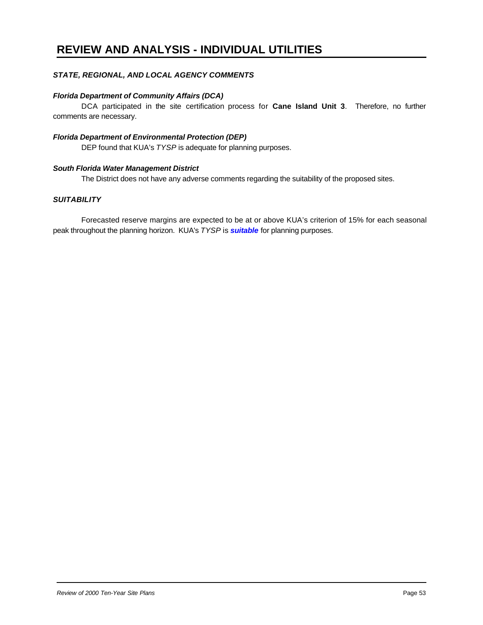#### *STATE, REGIONAL, AND LOCAL AGENCY COMMENTS*

#### *Florida Department of Community Affairs (DCA)*

DCA participated in the site certification process for **Cane Island Unit 3**. Therefore, no further comments are necessary.

#### *Florida Department of Environmental Protection (DEP)*

DEP found that KUA's *TYSP* is adequate for planning purposes.

#### *South Florida Water Management District*

The District does not have any adverse comments regarding the suitability of the proposed sites.

#### *SUITABILITY*

Forecasted reserve margins are expected to be at or above KUA's criterion of 15% for each seasonal peak throughout the planning horizon. KUA's *TYSP* is *suitable* for planning purposes.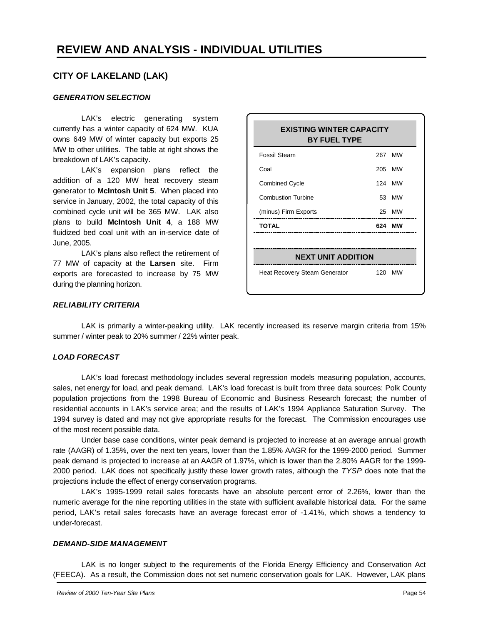#### **CITY OF LAKELAND (LAK)**

#### *GENERATION SELECTION*

LAK's electric generating system currently has a winter capacity of 624 MW. KUA owns 649 MW of winter capacity but exports 25 MW to other utilities. The table at right shows the breakdown of LAK's capacity.

LAK's expansion plans reflect the addition of a 120 MW heat recovery steam generator to **McIntosh Unit 5**. When placed into service in January, 2002, the total capacity of this combined cycle unit will be 365 MW. LAK also plans to build **McIntosh Unit 4**, a 188 MW fluidized bed coal unit with an in-service date of June, 2005.

LAK's plans also reflect the retirement of 77 MW of capacity at the **Larsen** site. Firm exports are forecasted to increase by 75 MW during the planning horizon.

| <b>EXISTING WINTER CAPACITY</b><br><b>BY FUEL TYPE</b> |     |        |  |  |  |
|--------------------------------------------------------|-----|--------|--|--|--|
| Fossil Steam                                           |     | 267 MW |  |  |  |
| Coal                                                   |     | 205 MW |  |  |  |
| <b>Combined Cycle</b>                                  |     | 124 MW |  |  |  |
| <b>Combustion Turbine</b>                              |     | 53 MW  |  |  |  |
| (minus) Firm Exports                                   |     | 25 MW  |  |  |  |
| <b>TOTAL</b>                                           | 624 | мw     |  |  |  |
|                                                        |     |        |  |  |  |
| <b>NEXT UNIT ADDITION</b>                              |     |        |  |  |  |
| <b>Heat Recovery Steam Generator</b>                   |     | 120 MW |  |  |  |

#### *RELIABILITY CRITERIA*

LAK is primarily a winter-peaking utility. LAK recently increased its reserve margin criteria from 15% summer / winter peak to 20% summer / 22% winter peak.

#### *LOAD FORECAST*

LAK's load forecast methodology includes several regression models measuring population, accounts, sales, net energy for load, and peak demand. LAK's load forecast is built from three data sources: Polk County population projections from the 1998 Bureau of Economic and Business Research forecast; the number of residential accounts in LAK's service area; and the results of LAK's 1994 Appliance Saturation Survey. The 1994 survey is dated and may not give appropriate results for the forecast. The Commission encourages use of the most recent possible data.

Under base case conditions, winter peak demand is projected to increase at an average annual growth rate (AAGR) of 1.35%, over the next ten years, lower than the 1.85% AAGR for the 1999-2000 period. Summer peak demand is projected to increase at an AAGR of 1.97%, which is lower than the 2.80% AAGR for the 1999- 2000 period. LAK does not specifically justify these lower growth rates, although the *TYSP* does note that the projections include the effect of energy conservation programs.

LAK's 1995-1999 retail sales forecasts have an absolute percent error of 2.26%, lower than the numeric average for the nine reporting utilities in the state with sufficient available historical data. For the same period, LAK's retail sales forecasts have an average forecast error of -1.41%, which shows a tendency to under-forecast.

#### *DEMAND-SIDE MANAGEMENT*

LAK is no longer subject to the requirements of the Florida Energy Efficiency and Conservation Act (FEECA). As a result, the Commission does not set numeric conservation goals for LAK. However, LAK plans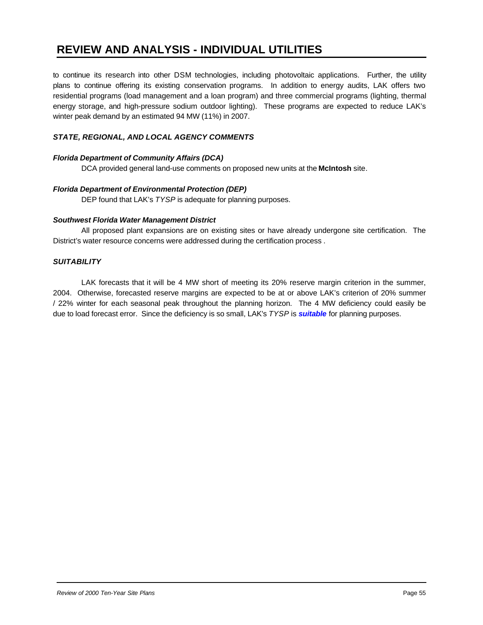to continue its research into other DSM technologies, including photovoltaic applications. Further, the utility plans to continue offering its existing conservation programs. In addition to energy audits, LAK offers two residential programs (load management and a loan program) and three commercial programs (lighting, thermal energy storage, and high-pressure sodium outdoor lighting). These programs are expected to reduce LAK's winter peak demand by an estimated 94 MW (11%) in 2007.

#### *STATE, REGIONAL, AND LOCAL AGENCY COMMENTS*

#### *Florida Department of Community Affairs (DCA)*

DCA provided general land-use comments on proposed new units at the **McIntosh** site.

#### *Florida Department of Environmental Protection (DEP)*

DEP found that LAK's *TYSP* is adequate for planning purposes.

#### *Southwest Florida Water Management District*

All proposed plant expansions are on existing sites or have already undergone site certification. The District's water resource concerns were addressed during the certification process .

#### *SUITABILITY*

LAK forecasts that it will be 4 MW short of meeting its 20% reserve margin criterion in the summer, 2004. Otherwise, forecasted reserve margins are expected to be at or above LAK's criterion of 20% summer / 22% winter for each seasonal peak throughout the planning horizon. The 4 MW deficiency could easily be due to load forecast error. Since the deficiency is so small, LAK's *TYSP* is *suitable* for planning purposes.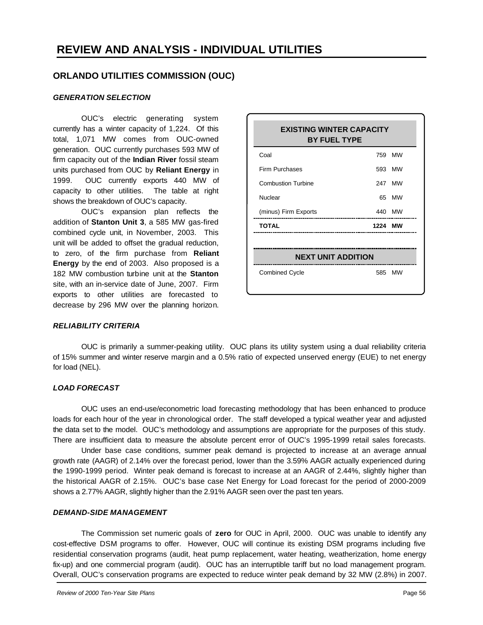#### **ORLANDO UTILITIES COMMISSION (OUC)**

#### *GENERATION SELECTION*

OUC's electric generating system currently has a winter capacity of 1,224. Of this total, 1,071 MW comes from OUC-owned generation. OUC currently purchases 593 MW of firm capacity out of the **Indian River** fossil steam units purchased from OUC by **Reliant Energy** in 1999. OUC currently exports 440 MW of capacity to other utilities. The table at right shows the breakdown of OUC's capacity.

OUC's expansion plan reflects the addition of **Stanton Unit 3**, a 585 MW gas-fired combined cycle unit, in November, 2003. This unit will be added to offset the gradual reduction, to zero, of the firm purchase from **Reliant Energy** by the end of 2003. Also proposed is a 182 MW combustion turbine unit at the **Stanton** site, with an in-service date of June, 2007. Firm exports to other utilities are forecasted to decrease by 296 MW over the planning horizon.

| <b>EXISTING WINTER CAPACITY</b><br><b>BY FUEL TYPE</b> |         |        |  |  |
|--------------------------------------------------------|---------|--------|--|--|
| Coal                                                   |         | 759 MW |  |  |
| Firm Purchases                                         |         | 593 MW |  |  |
| <b>Combustion Turbine</b>                              |         | 247 MW |  |  |
| Nuclear                                                |         | 65 MW  |  |  |
| (minus) Firm Exports                                   |         | 440 MW |  |  |
| <b>TOTAL</b>                                           | 1224 MW |        |  |  |
|                                                        |         |        |  |  |
| <b>NEXT UNIT ADDITION</b>                              |         |        |  |  |
| <b>Combined Cycle</b>                                  |         | 585 MW |  |  |
|                                                        |         |        |  |  |

#### *RELIABILITY CRITERIA*

OUC is primarily a summer-peaking utility. OUC plans its utility system using a dual reliability criteria of 15% summer and winter reserve margin and a 0.5% ratio of expected unserved energy (EUE) to net energy for load (NEL).

#### *LOAD FORECAST*

OUC uses an end-use/econometric load forecasting methodology that has been enhanced to produce loads for each hour of the year in chronological order. The staff developed a typical weather year and adjusted the data set to the model. OUC's methodology and assumptions are appropriate for the purposes of this study. There are insufficient data to measure the absolute percent error of OUC's 1995-1999 retail sales forecasts.

Under base case conditions, summer peak demand is projected to increase at an average annual growth rate (AAGR) of 2.14% over the forecast period, lower than the 3.59% AAGR actually experienced during the 1990-1999 period. Winter peak demand is forecast to increase at an AAGR of 2.44%, slightly higher than the historical AAGR of 2.15%. OUC's base case Net Energy for Load forecast for the period of 2000-2009 shows a 2.77% AAGR, slightly higher than the 2.91% AAGR seen over the past ten years.

#### *DEMAND-SIDE MANAGEMENT*

The Commission set numeric goals of **zero** for OUC in April, 2000. OUC was unable to identify any cost-effective DSM programs to offer. However, OUC will continue its existing DSM programs including five residential conservation programs (audit, heat pump replacement, water heating, weatherization, home energy fix-up) and one commercial program (audit). OUC has an interruptible tariff but no load management program. Overall, OUC's conservation programs are expected to reduce winter peak demand by 32 MW (2.8%) in 2007.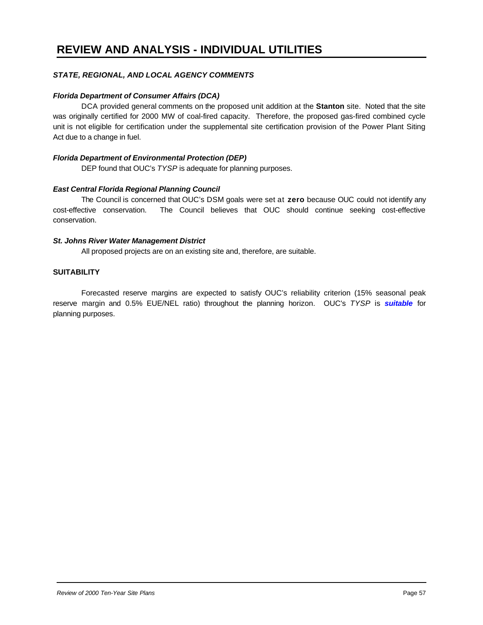#### *STATE, REGIONAL, AND LOCAL AGENCY COMMENTS*

#### *Florida Department of Consumer Affairs (DCA)*

DCA provided general comments on the proposed unit addition at the **Stanton** site. Noted that the site was originally certified for 2000 MW of coal-fired capacity. Therefore, the proposed gas-fired combined cycle unit is not eligible for certification under the supplemental site certification provision of the Power Plant Siting Act due to a change in fuel.

#### *Florida Department of Environmental Protection (DEP)*

DEP found that OUC's *TYSP* is adequate for planning purposes.

#### *East Central Florida Regional Planning Council*

The Council is concerned that OUC's DSM goals were set at **zero** because OUC could not identify any cost-effective conservation. The Council believes that OUC should continue seeking cost-effective conservation.

#### *St. Johns River Water Management District*

All proposed projects are on an existing site and, therefore, are suitable.

#### **SUITABILITY**

Forecasted reserve margins are expected to satisfy OUC's reliability criterion (15% seasonal peak reserve margin and 0.5% EUE/NEL ratio) throughout the planning horizon. OUC's *TYSP* is *suitable* for planning purposes.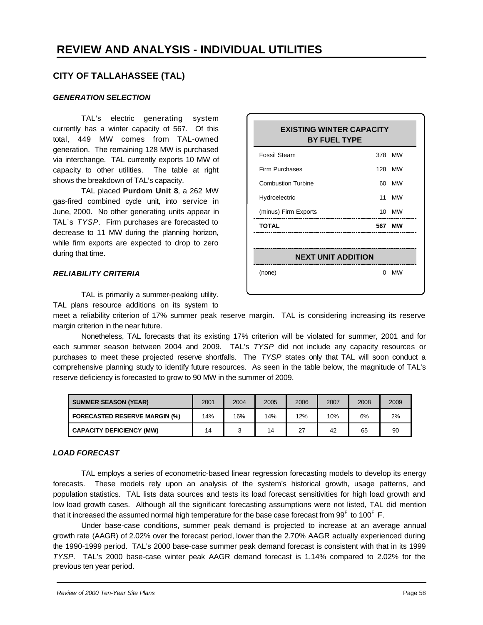#### **CITY OF TALLAHASSEE (TAL)**

#### *GENERATION SELECTION*

TAL's electric generating system currently has a winter capacity of 567. Of this total, 449 MW comes from TAL-owned generation. The remaining 128 MW is purchased via interchange. TAL currently exports 10 MW of capacity to other utilities. The table at right shows the breakdown of TAL's capacity.

TAL placed **Purdom Unit 8**, a 262 MW gas-fired combined cycle unit, into service in June, 2000. No other generating units appear in TAL's *TYSP*. Firm purchases are forecasted to decrease to 11 MW during the planning horizon, while firm exports are expected to drop to zero during that time.

# **EXISTING WINTER CAPACITY BY FUEL TYPE** Fossil Steam 378 MW Firm Purchases 128 MW Combustion Turbine 60 MW Hydroelectric 11 MW (minus) Firm Exports 10 MW **TOTAL 567 MW NEXT UNIT ADDITION** (none) 0 MW

#### *RELIABILITY CRITERIA*

TAL is primarily a summer-peaking utility.

TAL plans resource additions on its system to

meet a reliability criterion of 17% summer peak reserve margin. TAL is considering increasing its reserve margin criterion in the near future.

Nonetheless, TAL forecasts that its existing 17% criterion will be violated for summer, 2001 and for each summer season between 2004 and 2009. TAL's *TYSP* did not include any capacity resources or purchases to meet these projected reserve shortfalls. The *TYSP* states only that TAL will soon conduct a comprehensive planning study to identify future resources. As seen in the table below, the magnitude of TAL's reserve deficiency is forecasted to grow to 90 MW in the summer of 2009.

| <b>SUMMER SEASON (YEAR)</b>          | 2001 | 2004 | 2005 | 2006 | 2007 | 2008 | 2009 |
|--------------------------------------|------|------|------|------|------|------|------|
| <b>FORECASTED RESERVE MARGIN (%)</b> | 14%  | 16%  | 14%  | 12%  | 10%  | 6%   | 2%   |
| <b>CAPACITY DEFICIENCY (MW)</b>      | 14   |      | 14   | 27   | 42   | 65   | 90   |

#### *LOAD FORECAST*

TAL employs a series of econometric-based linear regression forecasting models to develop its energy forecasts. These models rely upon an analysis of the system's historical growth, usage patterns, and population statistics. TAL lists data sources and tests its load forecast sensitivities for high load growth and low load growth cases. Although all the significant forecasting assumptions were not listed, TAL did mention that it increased the assumed normal high temperature for the base case forecast from  $99^{\sf F}$  to 100 $^{\sf F}$  F.

Under base-case conditions, summer peak demand is projected to increase at an average annual growth rate (AAGR) of 2.02% over the forecast period, lower than the 2.70% AAGR actually experienced during the 1990-1999 period. TAL's 2000 base-case summer peak demand forecast is consistent with that in its 1999 *TYSP.* TAL's 2000 base-case winter peak AAGR demand forecast is 1.14% compared to 2.02% for the previous ten year period.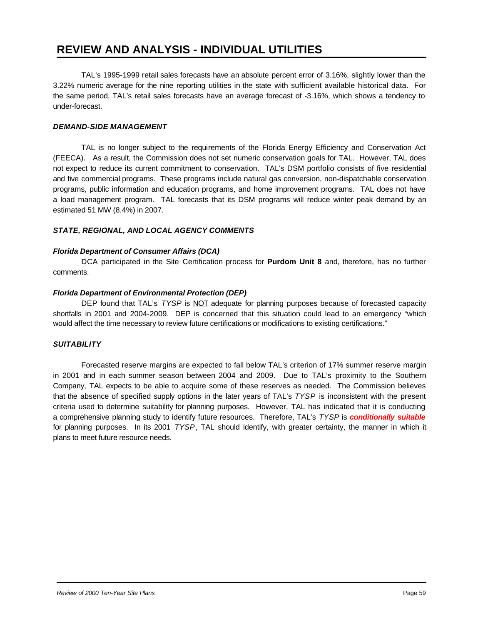TAL's 1995-1999 retail sales forecasts have an absolute percent error of 3.16%, slightly lower than the 3.22% numeric average for the nine reporting utilities in the state with sufficient available historical data. For the same period, TAL's retail sales forecasts have an average forecast of -3.16%, which shows a tendency to under-forecast.

#### *DEMAND-SIDE MANAGEMENT*

TAL is no longer subject to the requirements of the Florida Energy Efficiency and Conservation Act (FEECA). As a result, the Commission does not set numeric conservation goals for TAL. However, TAL does not expect to reduce its current commitment to conservation. TAL's DSM portfolio consists of five residential and five commercial programs. These programs include natural gas conversion, non-dispatchable conservation programs, public information and education programs, and home improvement programs. TAL does not have a load management program. TAL forecasts that its DSM programs will reduce winter peak demand by an estimated 51 MW (8.4%) in 2007.

#### *STATE, REGIONAL, AND LOCAL AGENCY COMMENTS*

#### *Florida Department of Consumer Affairs (DCA)*

DCA participated in the Site Certification process for **Purdom Unit 8** and, therefore, has no further comments.

#### *Florida Department of Environmental Protection (DEP)*

DEP found that TAL's *TYSP* is NOT adequate for planning purposes because of forecasted capacity shortfalls in 2001 and 2004-2009. DEP is concerned that this situation could lead to an emergency "which would affect the time necessary to review future certifications or modifications to existing certifications."

#### *SUITABILITY*

Forecasted reserve margins are expected to fall below TAL's criterion of 17% summer reserve margin in 2001 and in each summer season between 2004 and 2009. Due to TAL's proximity to the Southern Company, TAL expects to be able to acquire some of these reserves as needed. The Commission believes that the absence of specified supply options in the later years of TAL's *TYSP* is inconsistent with the present criteria used to determine suitability for planning purposes. However, TAL has indicated that it is conducting a comprehensive planning study to identify future resources. Therefore, TAL's *TYSP* is *conditionally suitable* for planning purposes. In its 2001 *TYSP*, TAL should identify, with greater certainty, the manner in which it plans to meet future resource needs.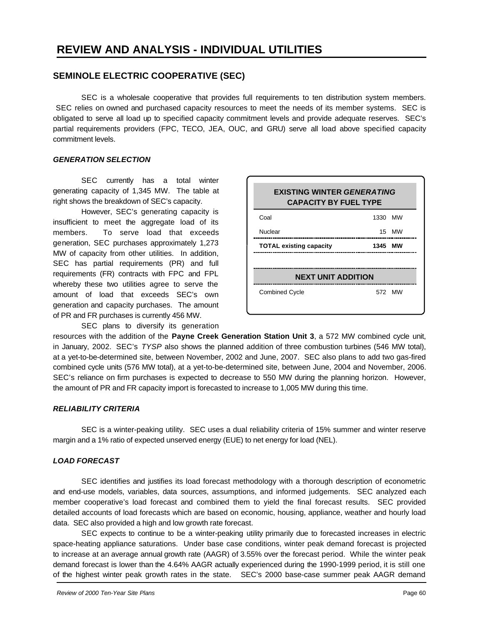#### **SEMINOLE ELECTRIC COOPERATIVE (SEC)**

SEC is a wholesale cooperative that provides full requirements to ten distribution system members. SEC relies on owned and purchased capacity resources to meet the needs of its member systems. SEC is obligated to serve all load up to specified capacity commitment levels and provide adequate reserves. SEC's partial requirements providers (FPC, TECO, JEA, OUC, and GRU) serve all load above specified capacity commitment levels.

#### *GENERATION SELECTION*

SEC currently has a total winter generating capacity of 1,345 MW. The table at right shows the breakdown of SEC's capacity.

However, SEC's generating capacity is insufficient to meet the aggregate load of its members. To serve load that exceeds generation, SEC purchases approximately 1,273 MW of capacity from other utilities. In addition, SEC has partial requirements (PR) and full requirements (FR) contracts with FPC and FPL whereby these two utilities agree to serve the amount of load that exceeds SEC's own generation and capacity purchases. The amount of PR and FR purchases is currently 456 MW.

SEC plans to diversify its generation

| <b>EXISTING WINTER GENERATING</b><br><b>CAPACITY BY FUEL TYPE</b> |         |        |  |  |
|-------------------------------------------------------------------|---------|--------|--|--|
| Coal                                                              | 1330 MW |        |  |  |
| Nuclear                                                           |         | 15 MW  |  |  |
| <b>TOTAL existing capacity</b>                                    | 1345 MW |        |  |  |
|                                                                   |         |        |  |  |
| <b>NEXT UNIT ADDITION</b>                                         |         |        |  |  |
| <b>Combined Cycle</b>                                             |         | 572 MW |  |  |
|                                                                   |         |        |  |  |

resources with the addition of the **Payne Creek Generation Station Unit 3**, a 572 MW combined cycle unit, in January, 2002. SEC's *TYSP* also shows the planned addition of three combustion turbines (546 MW total), at a yet-to-be-determined site, between November, 2002 and June, 2007. SEC also plans to add two gas-fired combined cycle units (576 MW total), at a yet-to-be-determined site, between June, 2004 and November, 2006. SEC's reliance on firm purchases is expected to decrease to 550 MW during the planning horizon. However, the amount of PR and FR capacity import is forecasted to increase to 1,005 MW during this time.

#### *RELIABILITY CRITERIA*

SEC is a winter-peaking utility. SEC uses a dual reliability criteria of 15% summer and winter reserve margin and a 1% ratio of expected unserved energy (EUE) to net energy for load (NEL).

#### *LOAD FORECAST*

SEC identifies and justifies its load forecast methodology with a thorough description of econometric and end-use models, variables, data sources, assumptions, and informed judgements. SEC analyzed each member cooperative's load forecast and combined them to yield the final forecast results. SEC provided detailed accounts of load forecasts which are based on economic, housing, appliance, weather and hourly load data. SEC also provided a high and low growth rate forecast.

SEC expects to continue to be a winter-peaking utility primarily due to forecasted increases in electric space-heating appliance saturations. Under base case conditions, winter peak demand forecast is projected to increase at an average annual growth rate (AAGR) of 3.55% over the forecast period. While the winter peak demand forecast is lower than the 4.64% AAGR actually experienced during the 1990-1999 period, it is still one of the highest winter peak growth rates in the state. SEC's 2000 base-case summer peak AAGR demand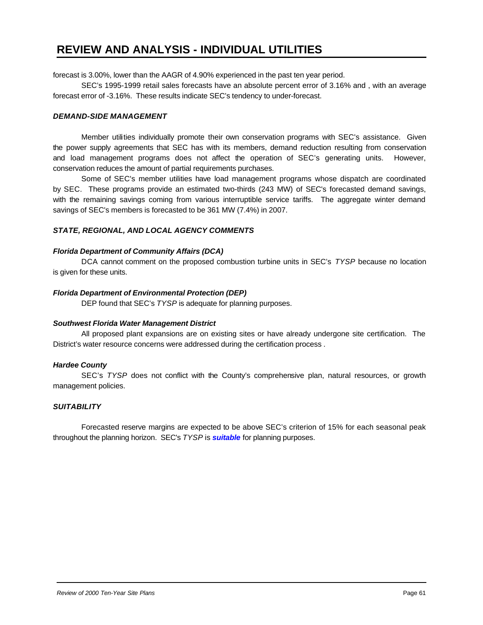forecast is 3.00%, lower than the AAGR of 4.90% experienced in the past ten year period.

SEC's 1995-1999 retail sales forecasts have an absolute percent error of 3.16% and , with an average forecast error of -3.16%. These results indicate SEC's tendency to under-forecast.

#### *DEMAND-SIDE MANAGEMENT*

Member utilities individually promote their own conservation programs with SEC's assistance. Given the power supply agreements that SEC has with its members, demand reduction resulting from conservation and load management programs does not affect the operation of SEC's generating units. However, conservation reduces the amount of partial requirements purchases.

Some of SEC's member utilities have load management programs whose dispatch are coordinated by SEC. These programs provide an estimated two-thirds (243 MW) of SEC's forecasted demand savings, with the remaining savings coming from various interruptible service tariffs. The aggregate winter demand savings of SEC's members is forecasted to be 361 MW (7.4%) in 2007.

#### *STATE, REGIONAL, AND LOCAL AGENCY COMMENTS*

#### *Florida Department of Community Affairs (DCA)*

DCA cannot comment on the proposed combustion turbine units in SEC's *TYSP* because no location is given for these units.

#### *Florida Department of Environmental Protection (DEP)*

DEP found that SEC's *TYSP* is adequate for planning purposes.

#### *Southwest Florida Water Management District*

All proposed plant expansions are on existing sites or have already undergone site certification. The District's water resource concerns were addressed during the certification process .

#### *Hardee County*

SEC's *TYSP* does not conflict with the County's comprehensive plan, natural resources, or growth management policies.

#### *SUITABILITY*

Forecasted reserve margins are expected to be above SEC's criterion of 15% for each seasonal peak throughout the planning horizon. SEC's *TYSP* is *suitable* for planning purposes.